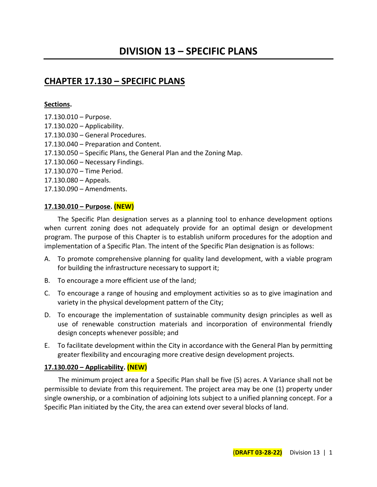# **CHAPTER 17.130 – SPECIFIC PLANS**

#### **Sections.**

- 17.130.010 Purpose.
- 17.130.020 Applicability.
- 17.130.030 General Procedures.
- 17.130.040 Preparation and Content.
- 17.130.050 Specific Plans, the General Plan and the Zoning Map.
- 17.130.060 Necessary Findings.
- 17.130.070 Time Period.
- 17.130.080 Appeals.
- 17.130.090 Amendments.

#### **17.130.010 – Purpose. (NEW)**

The Specific Plan designation serves as a planning tool to enhance development options when current zoning does not adequately provide for an optimal design or development program. The purpose of this Chapter is to establish uniform procedures for the adoption and implementation of a Specific Plan. The intent of the Specific Plan designation is as follows:

- A. To promote comprehensive planning for quality land development, with a viable program for building the infrastructure necessary to support it;
- B. To encourage a more efficient use of the land;
- C. To encourage a range of housing and employment activities so as to give imagination and variety in the physical development pattern of the City;
- D. To encourage the implementation of sustainable community design principles as well as use of renewable construction materials and incorporation of environmental friendly design concepts whenever possible; and
- E. To facilitate development within the City in accordance with the General Plan by permitting greater flexibility and encouraging more creative design development projects.

#### **17.130.020 – Applicability. (NEW)**

The minimum project area for a Specific Plan shall be five (5) acres. A Variance shall not be permissible to deviate from this requirement. The project area may be one (1) property under single ownership, or a combination of adjoining lots subject to a unified planning concept. For a Specific Plan initiated by the City, the area can extend over several blocks of land.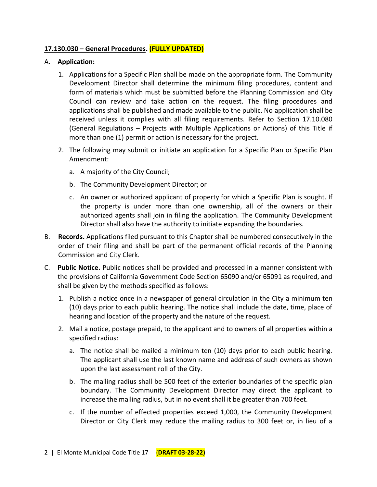## **17.130.030 – General Procedures. (FULLY UPDATED)**

#### A. **Application:**

- 1. Applications for a Specific Plan shall be made on the appropriate form. The Community Development Director shall determine the minimum filing procedures, content and form of materials which must be submitted before the Planning Commission and City Council can review and take action on the request. The filing procedures and applications shall be published and made available to the public. No application shall be received unless it complies with all filing requirements. Refer to Section 17.10.080 (General Regulations – Projects with Multiple Applications or Actions) of this Title if more than one (1) permit or action is necessary for the project.
- 2. The following may submit or initiate an application for a Specific Plan or Specific Plan Amendment:
	- a. A majority of the City Council;
	- b. The Community Development Director; or
	- c. An owner or authorized applicant of property for which a Specific Plan is sought. If the property is under more than one ownership, all of the owners or their authorized agents shall join in filing the application. The Community Development Director shall also have the authority to initiate expanding the boundaries.
- B. **Records.** Applications filed pursuant to this Chapter shall be numbered consecutively in the order of their filing and shall be part of the permanent official records of the Planning Commission and City Clerk.
- C. **Public Notice.** Public notices shall be provided and processed in a manner consistent with the provisions of California Government Code Section 65090 and/or 65091 as required, and shall be given by the methods specified as follows:
	- 1. Publish a notice once in a newspaper of general circulation in the City a minimum ten (10) days prior to each public hearing. The notice shall include the date, time, place of hearing and location of the property and the nature of the request.
	- 2. Mail a notice, postage prepaid, to the applicant and to owners of all properties within a specified radius:
		- a. The notice shall be mailed a minimum ten (10) days prior to each public hearing. The applicant shall use the last known name and address of such owners as shown upon the last assessment roll of the City.
		- b. The mailing radius shall be 500 feet of the exterior boundaries of the specific plan boundary. The Community Development Director may direct the applicant to increase the mailing radius, but in no event shall it be greater than 700 feet.
		- c. If the number of effected properties exceed 1,000, the Community Development Director or City Clerk may reduce the mailing radius to 300 feet or, in lieu of a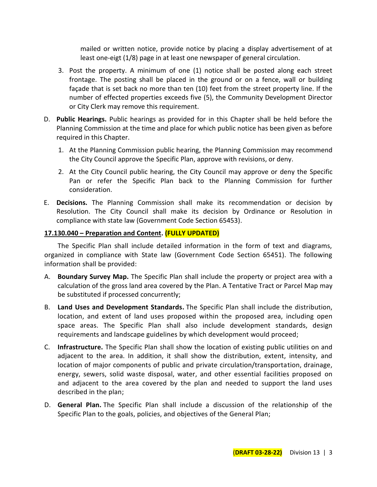mailed or written notice, provide notice by placing a display advertisement of at least one-eigt (1/8) page in at least one newspaper of general circulation.

- 3. Post the property. A minimum of one (1) notice shall be posted along each street frontage. The posting shall be placed in the ground or on a fence, wall or building façade that is set back no more than ten (10) feet from the street property line. If the number of effected properties exceeds five (5), the Community Development Director or City Clerk may remove this requirement.
- D. **Public Hearings.** Public hearings as provided for in this Chapter shall be held before the Planning Commission at the time and place for which public notice has been given as before required in this Chapter.
	- 1. At the Planning Commission public hearing, the Planning Commission may recommend the City Council approve the Specific Plan, approve with revisions, or deny.
	- 2. At the City Council public hearing, the City Council may approve or deny the Specific Pan or refer the Specific Plan back to the Planning Commission for further consideration.
- E. **Decisions.** The Planning Commission shall make its recommendation or decision by Resolution. The City Council shall make its decision by Ordinance or Resolution in compliance with state law (Government Code Section 65453).

## **17.130.040 – Preparation and Content. (FULLY UPDATED)**

The Specific Plan shall include detailed information in the form of text and diagrams, organized in compliance with State law (Government Code Section 65451). The following information shall be provided:

- A. **Boundary Survey Map.** The Specific Plan shall include the property or project area with a calculation of the gross land area covered by the Plan. A Tentative Tract or Parcel Map may be substituted if processed concurrently;
- B. **Land Uses and Development Standards.** The Specific Plan shall include the distribution, location, and extent of land uses proposed within the proposed area, including open space areas. The Specific Plan shall also include development standards, design requirements and landscape guidelines by which development would proceed;
- C. **Infrastructure.** The Specific Plan shall show the location of existing public utilities on and adjacent to the area. In addition, it shall show the distribution, extent, intensity, and location of major components of public and private circulation/transportation, drainage, energy, sewers, solid waste disposal, water, and other essential facilities proposed on and adjacent to the area covered by the plan and needed to support the land uses described in the plan;
- D. **General Plan.** The Specific Plan shall include a discussion of the relationship of the Specific Plan to the goals, policies, and objectives of the General Plan;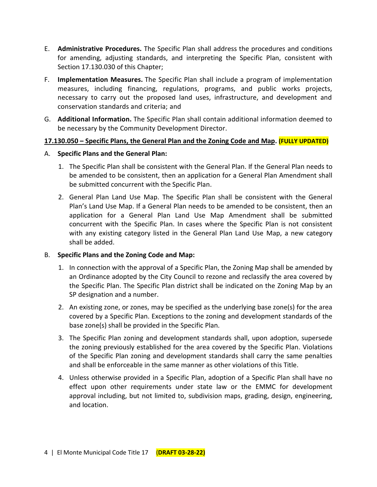- E. **Administrative Procedures.** The Specific Plan shall address the procedures and conditions for amending, adjusting standards, and interpreting the Specific Plan, consistent with Section 17.130.030 of this Chapter;
- F. **Implementation Measures.** The Specific Plan shall include a program of implementation measures, including financing, regulations, programs, and public works projects, necessary to carry out the proposed land uses, infrastructure, and development and conservation standards and criteria; and
- G. **Additional Information.** The Specific Plan shall contain additional information deemed to be necessary by the Community Development Director.

## **17.130.050 – Specific Plans, the General Plan and the Zoning Code and Map. (FULLY UPDATED)**

## A. **Specific Plans and the General Plan:**

- 1. The Specific Plan shall be consistent with the General Plan. If the General Plan needs to be amended to be consistent, then an application for a General Plan Amendment shall be submitted concurrent with the Specific Plan.
- 2. General Plan Land Use Map. The Specific Plan shall be consistent with the General Plan's Land Use Map. If a General Plan needs to be amended to be consistent, then an application for a General Plan Land Use Map Amendment shall be submitted concurrent with the Specific Plan. In cases where the Specific Plan is not consistent with any existing category listed in the General Plan Land Use Map, a new category shall be added.

## B. **Specific Plans and the Zoning Code and Map:**

- 1. In connection with the approval of a Specific Plan, the Zoning Map shall be amended by an Ordinance adopted by the City Council to rezone and reclassify the area covered by the Specific Plan. The Specific Plan district shall be indicated on the Zoning Map by an SP designation and a number.
- 2. An existing zone, or zones, may be specified as the underlying base zone(s) for the area covered by a Specific Plan. Exceptions to the zoning and development standards of the base zone(s) shall be provided in the Specific Plan.
- 3. The Specific Plan zoning and development standards shall, upon adoption, supersede the zoning previously established for the area covered by the Specific Plan. Violations of the Specific Plan zoning and development standards shall carry the same penalties and shall be enforceable in the same manner as other violations of this Title.
- 4. Unless otherwise provided in a Specific Plan, adoption of a Specific Plan shall have no effect upon other requirements under state law or the EMMC for development approval including, but not limited to, subdivision maps, grading, design, engineering, and location.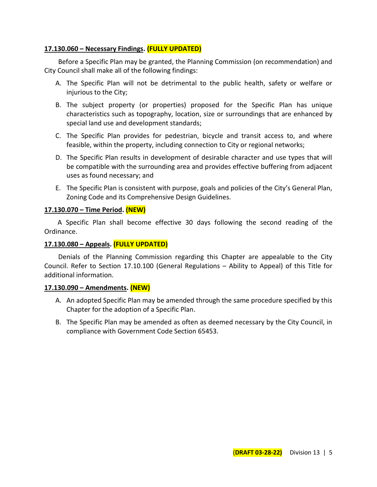## **17.130.060 – Necessary Findings. (FULLY UPDATED)**

Before a Specific Plan may be granted, the Planning Commission (on recommendation) and City Council shall make all of the following findings:

- A. The Specific Plan will not be detrimental to the public health, safety or welfare or injurious to the City;
- B. The subject property (or properties) proposed for the Specific Plan has unique characteristics such as topography, location, size or surroundings that are enhanced by special land use and development standards;
- C. The Specific Plan provides for pedestrian, bicycle and transit access to, and where feasible, within the property, including connection to City or regional networks;
- D. The Specific Plan results in development of desirable character and use types that will be compatible with the surrounding area and provides effective buffering from adjacent uses as found necessary; and
- E. The Specific Plan is consistent with purpose, goals and policies of the City's General Plan, Zoning Code and its Comprehensive Design Guidelines.

## **17.130.070 – Time Period. (NEW)**

A Specific Plan shall become effective 30 days following the second reading of the Ordinance.

#### **17.130.080 – Appeals. (FULLY UPDATED)**

Denials of the Planning Commission regarding this Chapter are appealable to the City Council. Refer to Section 17.10.100 (General Regulations – Ability to Appeal) of this Title for additional information.

#### **17.130.090 – Amendments. (NEW)**

- A. An adopted Specific Plan may be amended through the same procedure specified by this Chapter for the adoption of a Specific Plan.
- B. The Specific Plan may be amended as often as deemed necessary by the City Council, in compliance with Government Code Section 65453.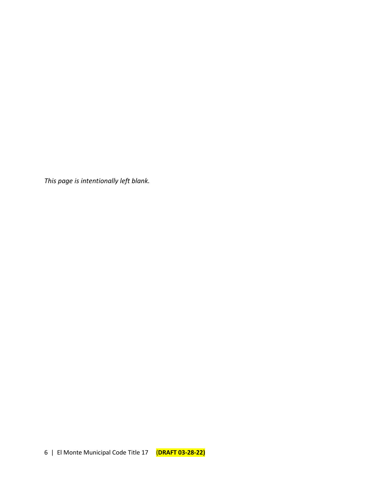*This page is intentionally left blank.*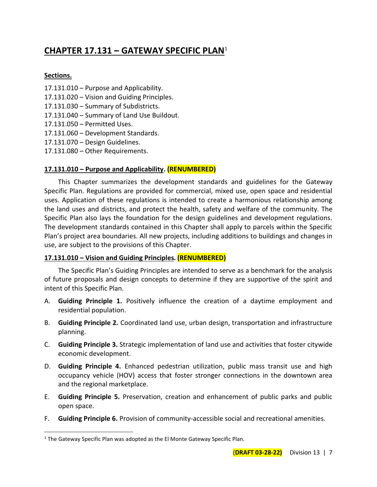# **CHAPTER 17.131 – GATEWAY SPECIFIC PLAN**<sup>1</sup>

## **Sections.**

- 17.131.010 Purpose and Applicability.
- 17.131.020 Vision and Guiding Principles.
- 17.131.030 Summary of Subdistricts.
- 17.131.040 Summary of Land Use Buildout.
- 17.131.050 Permitted Uses.
- 17.131.060 Development Standards.
- 17.131.070 Design Guidelines.
- 17.131.080 Other Requirements.

## **17.131.010 – Purpose and Applicability. (RENUMBERED)**

This Chapter summarizes the development standards and guidelines for the Gateway Specific Plan. Regulations are provided for commercial, mixed use, open space and residential uses. Application of these regulations is intended to create a harmonious relationship among the land uses and districts, and protect the health, safety and welfare of the community. The Specific Plan also lays the foundation for the design guidelines and development regulations. The development standards contained in this Chapter shall apply to parcels within the Specific Plan's project area boundaries. All new projects, including additions to buildings and changes in use, are subject to the provisions of this Chapter.

## **17.131.010 – Vision and Guiding Principles***.* **(RENUMBERED)**

The Specific Plan's Guiding Principles are intended to serve as a benchmark for the analysis of future proposals and design concepts to determine if they are supportive of the spirit and intent of this Specific Plan.

- A. **Guiding Principle 1.** Positively influence the creation of a daytime employment and residential population.
- B. **Guiding Principle 2.** Coordinated land use, urban design, transportation and infrastructure planning.
- C. **Guiding Principle 3.** Strategic implementation of land use and activities that foster citywide economic development.
- D. **Guiding Principle 4.** Enhanced pedestrian utilization, public mass transit use and high occupancy vehicle (HOV) access that foster stronger connections in the downtown area and the regional marketplace.
- E. **Guiding Principle 5.** Preservation, creation and enhancement of public parks and public open space.
- F. **Guiding Principle 6.** Provision of community-accessible social and recreational amenities.

<sup>&</sup>lt;sup>1</sup> The Gateway Specific Plan was adopted as the El Monte Gateway Specific Plan.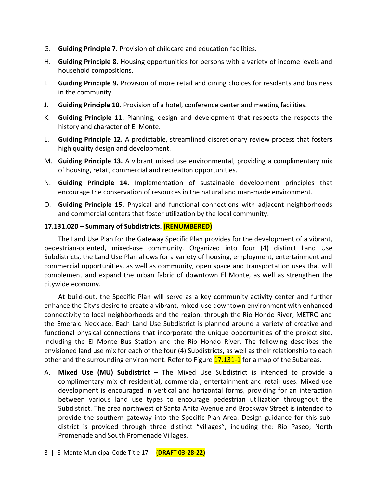- G. **Guiding Principle 7.** Provision of childcare and education facilities.
- H. **Guiding Principle 8.** Housing opportunities for persons with a variety of income levels and household compositions.
- I. **Guiding Principle 9.** Provision of more retail and dining choices for residents and business in the community.
- J. **Guiding Principle 10.** Provision of a hotel, conference center and meeting facilities.
- K. **Guiding Principle 11.** Planning, design and development that respects the respects the history and character of El Monte.
- L. **Guiding Principle 12.** A predictable, streamlined discretionary review process that fosters high quality design and development.
- M. **Guiding Principle 13.** A vibrant mixed use environmental, providing a complimentary mix of housing, retail, commercial and recreation opportunities.
- N. **Guiding Principle 14.** Implementation of sustainable development principles that encourage the conservation of resources in the natural and man-made environment.
- O. **Guiding Principle 15.** Physical and functional connections with adjacent neighborhoods and commercial centers that foster utilization by the local community.

## **17.131.020 – Summary of Subdistricts. (RENUMBERED)**

The Land Use Plan for the Gateway Specific Plan provides for the development of a vibrant, pedestrian-oriented, mixed-use community. Organized into four (4) distinct Land Use Subdistricts, the Land Use Plan allows for a variety of housing, employment, entertainment and commercial opportunities, as well as community, open space and transportation uses that will complement and expand the urban fabric of downtown El Monte, as well as strengthen the citywide economy.

At build-out, the Specific Plan will serve as a key community activity center and further enhance the City's desire to create a vibrant, mixed-use downtown environment with enhanced connectivity to local neighborhoods and the region, through the Rio Hondo River, METRO and the Emerald Necklace. Each Land Use Subdistrict is planned around a variety of creative and functional physical connections that incorporate the unique opportunities of the project site, including the El Monte Bus Station and the Rio Hondo River. The following describes the envisioned land use mix for each of the four (4) Subdistricts, as well as their relationship to each other and the surrounding environment. Refer to Figure 17.131-1 for a map of the Subareas.

A. **Mixed Use (MU) Subdistrict –** The Mixed Use Subdistrict is intended to provide a complimentary mix of residential, commercial, entertainment and retail uses. Mixed use development is encouraged in vertical and horizontal forms, providing for an interaction between various land use types to encourage pedestrian utilization throughout the Subdistrict. The area northwest of Santa Anita Avenue and Brockway Street is intended to provide the southern gateway into the Specific Plan Area. Design guidance for this subdistrict is provided through three distinct "villages", including the: Rio Paseo; North Promenade and South Promenade Villages.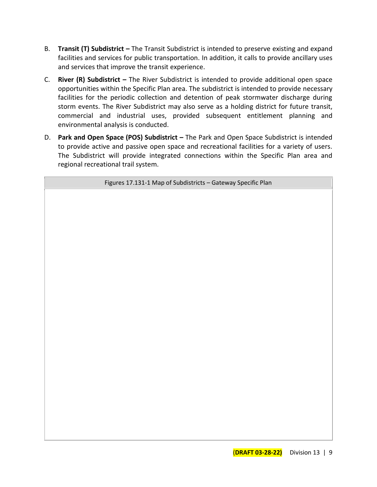- B. **Transit (T) Subdistrict –** The Transit Subdistrict is intended to preserve existing and expand facilities and services for public transportation. In addition, it calls to provide ancillary uses and services that improve the transit experience.
- C. **River (R) Subdistrict –** The River Subdistrict is intended to provide additional open space opportunities within the Specific Plan area. The subdistrict is intended to provide necessary facilities for the periodic collection and detention of peak stormwater discharge during storm events. The River Subdistrict may also serve as a holding district for future transit, commercial and industrial uses, provided subsequent entitlement planning and environmental analysis is conducted.
- D. **Park and Open Space (POS) Subdistrict** The Park and Open Space Subdistrict is intended to provide active and passive open space and recreational facilities for a variety of users. The Subdistrict will provide integrated connections within the Specific Plan area and regional recreational trail system.

Figures 17.131-1 Map of Subdistricts – Gateway Specific Plan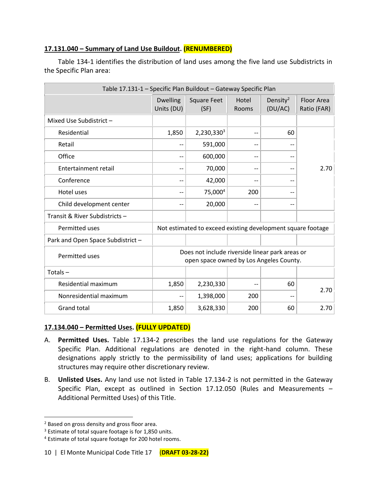## **17.131.040 – Summary of Land Use Buildout. (RENUMBERED)**

Table 134-1 identifies the distribution of land uses among the five land use Subdistricts in the Specific Plan area:

| Table 17.131-1 - Specific Plan Buildout - Gateway Specific Plan |                                                                                            |                                                             |                |                                 |                                  |  |
|-----------------------------------------------------------------|--------------------------------------------------------------------------------------------|-------------------------------------------------------------|----------------|---------------------------------|----------------------------------|--|
|                                                                 | <b>Dwelling</b><br>Units (DU)                                                              | <b>Square Feet</b><br>(SF)                                  | Hotel<br>Rooms | Density <sup>2</sup><br>(DU/AC) | <b>Floor Area</b><br>Ratio (FAR) |  |
| Mixed Use Subdistrict -                                         |                                                                                            |                                                             |                |                                 |                                  |  |
| Residential                                                     | 1,850                                                                                      | 2,230,330 <sup>3</sup>                                      |                | 60                              |                                  |  |
| Retail                                                          | --                                                                                         | 591,000                                                     | --             |                                 |                                  |  |
| Office                                                          |                                                                                            | 600,000                                                     |                |                                 |                                  |  |
| <b>Entertainment retail</b>                                     |                                                                                            | 70,000                                                      |                |                                 | 2.70                             |  |
| Conference                                                      | --                                                                                         | 42,000                                                      | --             | --                              |                                  |  |
| Hotel uses                                                      | --                                                                                         | 75,0004                                                     | 200            |                                 |                                  |  |
| Child development center                                        | --                                                                                         | 20,000                                                      | --             | --                              |                                  |  |
| Transit & River Subdistricts -                                  |                                                                                            |                                                             |                |                                 |                                  |  |
| <b>Permitted uses</b>                                           |                                                                                            | Not estimated to exceed existing development square footage |                |                                 |                                  |  |
| Park and Open Space Subdistrict -                               |                                                                                            |                                                             |                |                                 |                                  |  |
| Permitted uses                                                  | Does not include riverside linear park areas or<br>open space owned by Los Angeles County. |                                                             |                |                                 |                                  |  |
| Totals $-$                                                      |                                                                                            |                                                             |                |                                 |                                  |  |
| Residential maximum                                             | 1,850                                                                                      | 2,230,330                                                   |                | 60                              |                                  |  |
| Nonresidential maximum                                          | --                                                                                         | 1,398,000                                                   | 200            |                                 | 2.70                             |  |
| <b>Grand total</b>                                              | 1,850                                                                                      | 3,628,330                                                   | 200            | 60                              | 2.70                             |  |

## **17.134.040 – Permitted Uses. (FULLY UPDATED)**

- A. **Permitted Uses.** Table 17.134-2 prescribes the land use regulations for the Gateway Specific Plan. Additional regulations are denoted in the right-hand column. These designations apply strictly to the permissibility of land uses; applications for building structures may require other discretionary review.
- B. **Unlisted Uses.** Any land use not listed in Table 17.134-2 is not permitted in the Gateway Specific Plan, except as outlined in Section 17.12.050 (Rules and Measurements – Additional Permitted Uses) of this Title.

<sup>&</sup>lt;sup>2</sup> Based on gross density and gross floor area.

<sup>&</sup>lt;sup>3</sup> Estimate of total square footage is for 1,850 units.

<sup>4</sup> Estimate of total square footage for 200 hotel rooms.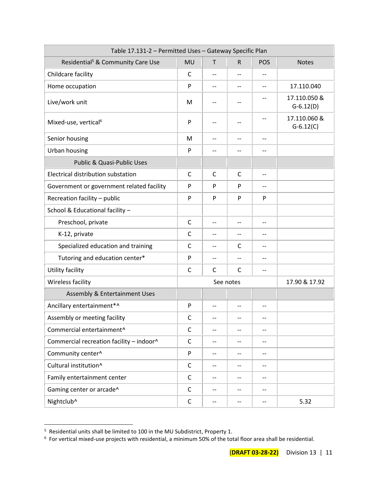| Table 17.131-2 - Permitted Uses - Gateway Specific Plan |              |                          |              |                          |                             |
|---------------------------------------------------------|--------------|--------------------------|--------------|--------------------------|-----------------------------|
| Residential <sup>5</sup> & Community Care Use           | <b>MU</b>    | T                        | $\mathsf{R}$ | POS                      | <b>Notes</b>                |
| Childcare facility                                      | $\mathsf{C}$ | $-$                      | $-$          | --                       |                             |
| Home occupation                                         | P            | $-$                      | $-$          | $-$                      | 17.110.040                  |
| Live/work unit                                          | M            |                          |              | --                       | 17.110.050 &<br>$G-6.12(D)$ |
| Mixed-use, vertical <sup>6</sup>                        | P            |                          |              |                          | 17.110.060 &<br>$G-6.12(C)$ |
| Senior housing                                          | M            | $-$                      | $-$          | $-$                      |                             |
| Urban housing                                           | P            | $\overline{a}$           | --           | $-$                      |                             |
| <b>Public &amp; Quasi-Public Uses</b>                   |              |                          |              |                          |                             |
| Electrical distribution substation                      | C            | C                        | C            | $-$                      |                             |
| Government or government related facility               | P            | P                        | P            | $\overline{\phantom{a}}$ |                             |
| Recreation facility - public                            | P            | P                        | P            | P                        |                             |
| School & Educational facility -                         |              |                          |              |                          |                             |
| Preschool, private                                      | $\mathsf{C}$ | $\overline{\phantom{a}}$ | --           | $-$                      |                             |
| K-12, private                                           | C            | $-$                      | --           | --                       |                             |
| Specialized education and training                      | C            | $-$                      | C            | $-$                      |                             |
| Tutoring and education center*                          | P            | $\qquad \qquad -$        | --           | --                       |                             |
| <b>Utility facility</b>                                 | C            | C                        | C            | --                       |                             |
| Wireless facility                                       |              | See notes                |              |                          | 17.90 & 17.92               |
| Assembly & Entertainment Uses                           |              |                          |              |                          |                             |
| Ancillary entertainment*^                               | P            |                          |              |                          |                             |
| Assembly or meeting facility                            | C            |                          |              |                          |                             |
| Commercial entertainment^                               | C            | $-$                      | --           |                          |                             |
| Commercial recreation facility - indoor^                | C            | $-$                      | --           | --                       |                             |
| Community center^                                       | P            | $\qquad \qquad -$        | --           | --                       |                             |
| Cultural institution^                                   | $\mathsf C$  | --                       | --           |                          |                             |
| Family entertainment center                             | C            | $-$                      | --           |                          |                             |
| Gaming center or arcade^                                | C            | $-$                      | --           | --                       |                             |
| Nightclub^                                              | C            | $-$                      | --           | --                       | 5.32                        |

 $^5$  Residential units shall be limited to 100 in the MU Subdistrict, Property 1.<br> $^6$  For vertical mixed-use projects with residential, a minimum 50% of the total floor area shall be residential.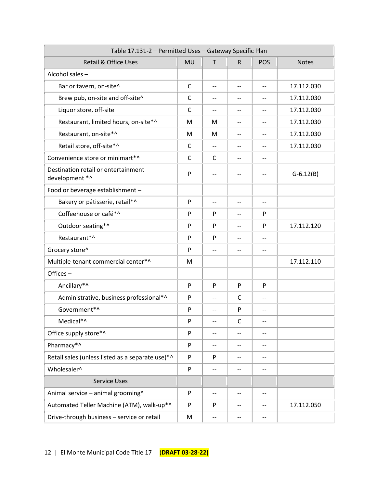| Table 17.131-2 - Permitted Uses - Gateway Specific Plan |             |                          |                          |                          |              |
|---------------------------------------------------------|-------------|--------------------------|--------------------------|--------------------------|--------------|
| <b>Retail &amp; Office Uses</b>                         | <b>MU</b>   | $\mathsf T$              | ${\sf R}$                | <b>POS</b>               | <b>Notes</b> |
| Alcohol sales-                                          |             |                          |                          |                          |              |
| Bar or tavern, on-site^                                 | $\mathsf C$ | $\overline{\phantom{a}}$ | $-$                      | $-$                      | 17.112.030   |
| Brew pub, on-site and off-site^                         | C           | --                       | --                       | --                       | 17.112.030   |
| Liquor store, off-site                                  | C           | --                       | --                       |                          | 17.112.030   |
| Restaurant, limited hours, on-site*^                    | M           | M                        | $\overline{\phantom{a}}$ | --                       | 17.112.030   |
| Restaurant, on-site*^                                   | M           | M                        | --                       | --                       | 17.112.030   |
| Retail store, off-site*^                                | C           | --                       | $\overline{\phantom{a}}$ | $\overline{\phantom{a}}$ | 17.112.030   |
| Convenience store or minimart*^                         | C           | $\mathsf{C}$             | --                       | $\overline{\phantom{a}}$ |              |
| Destination retail or entertainment<br>development *^   | P           |                          |                          |                          | $G-6.12(B)$  |
| Food or beverage establishment -                        |             |                          |                          |                          |              |
| Bakery or pâtisserie, retail*^                          | P           | $-$                      | $\overline{\phantom{a}}$ | $\overline{\phantom{a}}$ |              |
| Coffeehouse or café*^                                   | P           | P                        | $-$                      | P                        |              |
| Outdoor seating*^                                       | P           | P                        | $-$                      | P                        | 17.112.120   |
| Restaurant*^                                            | P           | P                        | --                       | --                       |              |
| Grocery store^                                          | P           | $\overline{\phantom{a}}$ | --                       | $\overline{\phantom{a}}$ |              |
| Multiple-tenant commercial center*^                     | M           | $-$                      | $\overline{\phantom{a}}$ | $\overline{\phantom{a}}$ | 17.112.110   |
| Offices-                                                |             |                          |                          |                          |              |
| Ancillary*^                                             | P           | P                        | P                        | P                        |              |
| Administrative, business professional*^                 | P           | $-$                      | C                        | $\overline{\phantom{a}}$ |              |
| Government*^                                            | P           |                          | P                        | --                       |              |
| Medical*^                                               | P           |                          | C                        | $- -$                    |              |
| Office supply store*^                                   | P           | $\overline{\phantom{a}}$ | --                       | --                       |              |
| Pharmacy*^                                              | P           |                          | --                       |                          |              |
| Retail sales (unless listed as a separate use)*^        | P           | P                        | --                       |                          |              |
| Wholesaler^                                             | P           | $- -$                    | --                       | --                       |              |
| <b>Service Uses</b>                                     |             |                          |                          |                          |              |
| Animal service - animal grooming^                       | P           | $\overline{\phantom{m}}$ | $- \,$                   | --                       |              |
| Automated Teller Machine (ATM), walk-up*^               | P           | P                        | --                       | --                       | 17.112.050   |
| Drive-through business - service or retail              | M           | --                       | --                       | $\overline{\phantom{a}}$ |              |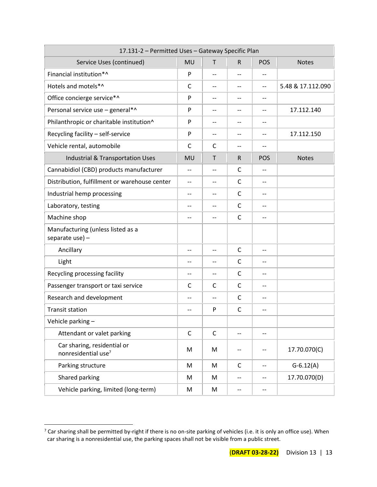|                                                                | 17.131-2 - Permitted Uses - Gateway Specific Plan |                          |              |                          |                   |  |
|----------------------------------------------------------------|---------------------------------------------------|--------------------------|--------------|--------------------------|-------------------|--|
| Service Uses (continued)                                       | <b>MU</b>                                         | $\mathsf{T}$             | R            | <b>POS</b>               | <b>Notes</b>      |  |
| Financial institution*^                                        | P                                                 |                          | --           |                          |                   |  |
| Hotels and motels*^                                            | C                                                 | $-$                      | $-$          | $-$                      | 5.48 & 17.112.090 |  |
| Office concierge service*^                                     | P                                                 |                          | $-$          | --                       |                   |  |
| Personal service use - general*^                               | P                                                 | $-$                      | --           | --                       | 17.112.140        |  |
| Philanthropic or charitable institution^                       | P                                                 | $-$                      | --           | --                       |                   |  |
| Recycling facility - self-service                              | P                                                 | $-$                      | --           | $\overline{\phantom{a}}$ | 17.112.150        |  |
| Vehicle rental, automobile                                     | C                                                 | C                        | --           |                          |                   |  |
| <b>Industrial &amp; Transportation Uses</b>                    | <b>MU</b>                                         | $\mathsf{T}$             | R            | <b>POS</b>               | <b>Notes</b>      |  |
| Cannabidiol (CBD) products manufacturer                        | --                                                | $-$                      | C            |                          |                   |  |
| Distribution, fulfillment or warehouse center                  | --                                                | $-$                      | C            | $\overline{\phantom{m}}$ |                   |  |
| Industrial hemp processing                                     | --                                                | $-$                      | C            | --                       |                   |  |
| Laboratory, testing                                            | --                                                | $\overline{\phantom{a}}$ | C            | $-$                      |                   |  |
| Machine shop                                                   | --                                                | $-$                      | $\mathsf{C}$ | $\overline{\phantom{a}}$ |                   |  |
| Manufacturing (unless listed as a<br>separate use) -           |                                                   |                          |              |                          |                   |  |
| Ancillary                                                      | --                                                | $-$                      | $\mathsf{C}$ | --                       |                   |  |
| Light                                                          | $-$                                               | $-$                      | C            | --                       |                   |  |
| Recycling processing facility                                  | --                                                | $-$                      | C            | $\overline{\phantom{a}}$ |                   |  |
| Passenger transport or taxi service                            | С                                                 | C                        | C            | $\overline{\phantom{a}}$ |                   |  |
| Research and development                                       | $-$                                               |                          | $\mathsf{C}$ | --                       |                   |  |
| <b>Transit station</b>                                         | $-$                                               | P                        | C            | $\overline{a}$           |                   |  |
| Vehicle parking-                                               |                                                   |                          |              |                          |                   |  |
| Attendant or valet parking                                     | $\mathsf C$                                       | $\mathsf{C}$             | --           | --                       |                   |  |
| Car sharing, residential or<br>nonresidential use <sup>7</sup> | M                                                 | M                        |              |                          | 17.70.070(C)      |  |
| Parking structure                                              | M                                                 | M                        | C            | --                       | $G-6.12(A)$       |  |
| Shared parking                                                 | M                                                 | M                        | --           | --                       | 17.70.070(D)      |  |
| Vehicle parking, limited (long-term)                           | M                                                 | M                        | --           | $-\hbox{--}$             |                   |  |

 $^7$  Car sharing shall be permitted by-right if there is no on-site parking of vehicles (i.e. it is only an office use). When car sharing is a nonresidential use, the parking spaces shall not be visible from a public street.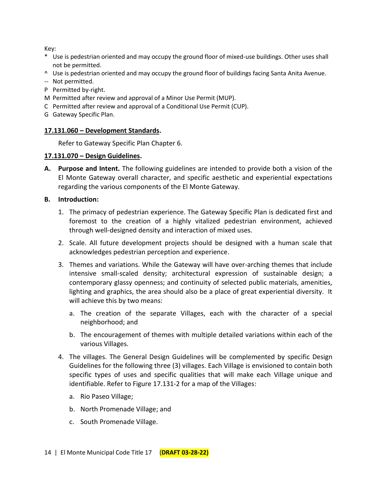Key:

- \* Use is pedestrian oriented and may occupy the ground floor of mixed-use buildings. Other uses shall not be permitted.
- ^ Use is pedestrian oriented and may occupy the ground floor of buildings facing Santa Anita Avenue.
- -- Not permitted.
- P Permitted by-right.
- M Permitted after review and approval of a Minor Use Permit (MUP).
- C Permitted after review and approval of a Conditional Use Permit (CUP).
- G Gateway Specific Plan.

## **17.131.060 – Development Standards.**

Refer to Gateway Specific Plan Chapter 6.

## **17.131.070 – Design Guidelines.**

**A. Purpose and Intent.** The following guidelines are intended to provide both a vision of the El Monte Gateway overall character, and specific aesthetic and experiential expectations regarding the various components of the El Monte Gateway.

## **B. Introduction:**

- 1. The primacy of pedestrian experience. The Gateway Specific Plan is dedicated first and foremost to the creation of a highly vitalized pedestrian environment, achieved through well-designed density and interaction of mixed uses.
- 2. Scale. All future development projects should be designed with a human scale that acknowledges pedestrian perception and experience.
- 3. Themes and variations. While the Gateway will have over-arching themes that include intensive small-scaled density; architectural expression of sustainable design; a contemporary glassy openness; and continuity of selected public materials, amenities, lighting and graphics, the area should also be a place of great experiential diversity. It will achieve this by two means:
	- a. The creation of the separate Villages, each with the character of a special neighborhood; and
	- b. The encouragement of themes with multiple detailed variations within each of the various Villages.
- 4. The villages. The General Design Guidelines will be complemented by specific Design Guidelines for the following three (3) villages. Each Village is envisioned to contain both specific types of uses and specific qualities that will make each Village unique and identifiable. Refer to Figure 17.131-2 for a map of the Villages:
	- a. Rio Paseo Village;
	- b. North Promenade Village; and
	- c. South Promenade Village.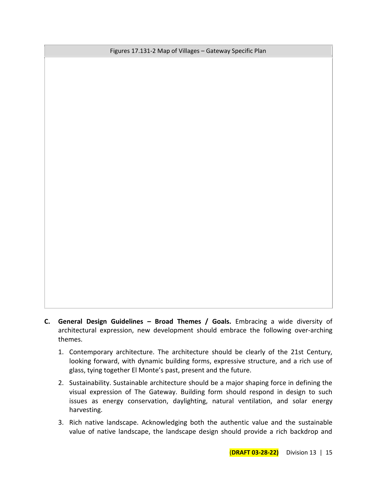Figures 17.131-2 Map of Villages – Gateway Specific Plan

- **C. General Design Guidelines – Broad Themes / Goals.** Embracing a wide diversity of architectural expression, new development should embrace the following over-arching themes.
	- 1. Contemporary architecture. The architecture should be clearly of the 21st Century, looking forward, with dynamic building forms, expressive structure, and a rich use of glass, tying together El Monte's past, present and the future.
	- 2. Sustainability. Sustainable architecture should be a major shaping force in defining the visual expression of The Gateway. Building form should respond in design to such issues as energy conservation, daylighting, natural ventilation, and solar energy harvesting.
	- 3. Rich native landscape. Acknowledging both the authentic value and the sustainable value of native landscape, the landscape design should provide a rich backdrop and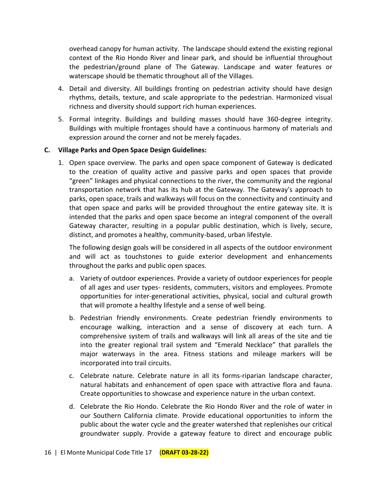overhead canopy for human activity. The landscape should extend the existing regional context of the Rio Hondo River and linear park, and should be influential throughout the pedestrian/ground plane of The Gateway. Landscape and water features or waterscape should be thematic throughout all of the Villages.

- 4. Detail and diversity. All buildings fronting on pedestrian activity should have design rhythms, details, texture, and scale appropriate to the pedestrian. Harmonized visual richness and diversity should support rich human experiences.
- 5. Formal integrity. Buildings and building masses should have 360-degree integrity. Buildings with multiple frontages should have a continuous harmony of materials and expression around the corner and not be merely façades.

## **C. Village Parks and Open Space Design Guidelines:**

1. Open space overview. The parks and open space component of Gateway is dedicated to the creation of quality active and passive parks and open spaces that provide "green" linkages and physical connections to the river, the community and the regional transportation network that has its hub at the Gateway. The Gateway's approach to parks, open space, trails and walkways will focus on the connectivity and continuity and that open space and parks will be provided throughout the entire gateway site. It is intended that the parks and open space become an integral component of the overall Gateway character, resulting in a popular public destination, which is lively, secure, distinct, and promotes a healthy, community-based, urban lifestyle.

The following design goals will be considered in all aspects of the outdoor environment and will act as touchstones to guide exterior development and enhancements throughout the parks and public open spaces.

- a. Variety of outdoor experiences. Provide a variety of outdoor experiences for people of all ages and user types- residents, commuters, visitors and employees. Promote opportunities for inter-generational activities, physical, social and cultural growth that will promote a healthy lifestyle and a sense of well being.
- b. Pedestrian friendly environments. Create pedestrian friendly environments to encourage walking, interaction and a sense of discovery at each turn. A comprehensive system of trails and walkways will link all areas of the site and tie into the greater regional trail system and "Emerald Necklace" that parallels the major waterways in the area. Fitness stations and mileage markers will be incorporated into trail circuits.
- c. Celebrate nature. Celebrate nature in all its forms-riparian landscape character, natural habitats and enhancement of open space with attractive flora and fauna. Create opportunities to showcase and experience nature in the urban context.
- d. Celebrate the Rio Hondo. Celebrate the Rio Hondo River and the role of water in our Southern California climate. Provide educational opportunities to inform the public about the water cycle and the greater watershed that replenishes our critical groundwater supply. Provide a gateway feature to direct and encourage public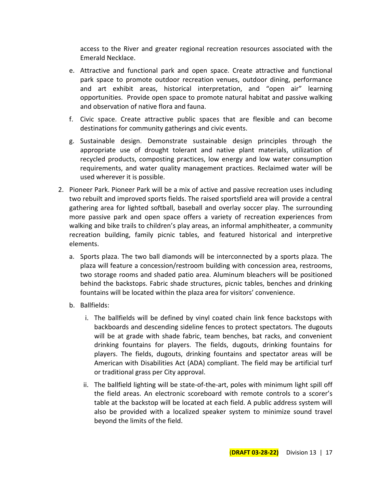access to the River and greater regional recreation resources associated with the Emerald Necklace.

- e. Attractive and functional park and open space. Create attractive and functional park space to promote outdoor recreation venues, outdoor dining, performance and art exhibit areas, historical interpretation, and "open air" learning opportunities. Provide open space to promote natural habitat and passive walking and observation of native flora and fauna.
- f. Civic space. Create attractive public spaces that are flexible and can become destinations for community gatherings and civic events.
- g. Sustainable design. Demonstrate sustainable design principles through the appropriate use of drought tolerant and native plant materials, utilization of recycled products, composting practices, low energy and low water consumption requirements, and water quality management practices. Reclaimed water will be used wherever it is possible.
- 2. Pioneer Park. Pioneer Park will be a mix of active and passive recreation uses including two rebuilt and improved sports fields. The raised sportsfield area will provide a central gathering area for lighted softball, baseball and overlay soccer play. The surrounding more passive park and open space offers a variety of recreation experiences from walking and bike trails to children's play areas, an informal amphitheater, a community recreation building, family picnic tables, and featured historical and interpretive elements.
	- a. Sports plaza. The two ball diamonds will be interconnected by a sports plaza. The plaza will feature a concession/restroom building with concession area, restrooms, two storage rooms and shaded patio area. Aluminum bleachers will be positioned behind the backstops. Fabric shade structures, picnic tables, benches and drinking fountains will be located within the plaza area for visitors' convenience.
	- b. Ballfields:
		- i. The ballfields will be defined by vinyl coated chain link fence backstops with backboards and descending sideline fences to protect spectators. The dugouts will be at grade with shade fabric, team benches, bat racks, and convenient drinking fountains for players. The fields, dugouts, drinking fountains for players. The fields, dugouts, drinking fountains and spectator areas will be American with Disabilities Act (ADA) compliant. The field may be artificial turf or traditional grass per City approval.
		- ii. The ballfield lighting will be state-of-the-art, poles with minimum light spill off the field areas. An electronic scoreboard with remote controls to a scorer's table at the backstop will be located at each field. A public address system will also be provided with a localized speaker system to minimize sound travel beyond the limits of the field.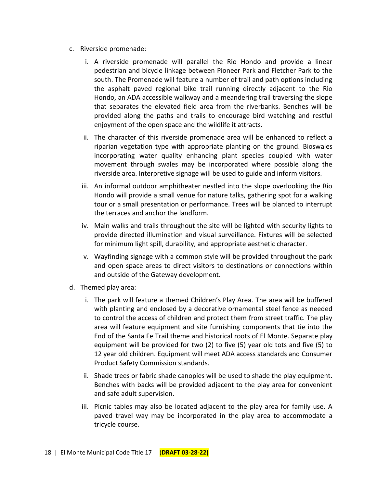- c. Riverside promenade:
	- i. A riverside promenade will parallel the Rio Hondo and provide a linear pedestrian and bicycle linkage between Pioneer Park and Fletcher Park to the south. The Promenade will feature a number of trail and path options including the asphalt paved regional bike trail running directly adjacent to the Rio Hondo, an ADA accessible walkway and a meandering trail traversing the slope that separates the elevated field area from the riverbanks. Benches will be provided along the paths and trails to encourage bird watching and restful enjoyment of the open space and the wildlife it attracts.
	- ii. The character of this riverside promenade area will be enhanced to reflect a riparian vegetation type with appropriate planting on the ground. Bioswales incorporating water quality enhancing plant species coupled with water movement through swales may be incorporated where possible along the riverside area. Interpretive signage will be used to guide and inform visitors.
	- iii. An informal outdoor amphitheater nestled into the slope overlooking the Rio Hondo will provide a small venue for nature talks, gathering spot for a walking tour or a small presentation or performance. Trees will be planted to interrupt the terraces and anchor the landform.
	- iv. Main walks and trails throughout the site will be lighted with security lights to provide directed illumination and visual surveillance. Fixtures will be selected for minimum light spill, durability, and appropriate aesthetic character.
	- v. Wayfinding signage with a common style will be provided throughout the park and open space areas to direct visitors to destinations or connections within and outside of the Gateway development.
- d. Themed play area:
	- i. The park will feature a themed Children's Play Area. The area will be buffered with planting and enclosed by a decorative ornamental steel fence as needed to control the access of children and protect them from street traffic. The play area will feature equipment and site furnishing components that tie into the End of the Santa Fe Trail theme and historical roots of El Monte. Separate play equipment will be provided for two (2) to five (5) year old tots and five (5) to 12 year old children. Equipment will meet ADA access standards and Consumer Product Safety Commission standards.
	- ii. Shade trees or fabric shade canopies will be used to shade the play equipment. Benches with backs will be provided adjacent to the play area for convenient and safe adult supervision.
	- iii. Picnic tables may also be located adjacent to the play area for family use. A paved travel way may be incorporated in the play area to accommodate a tricycle course.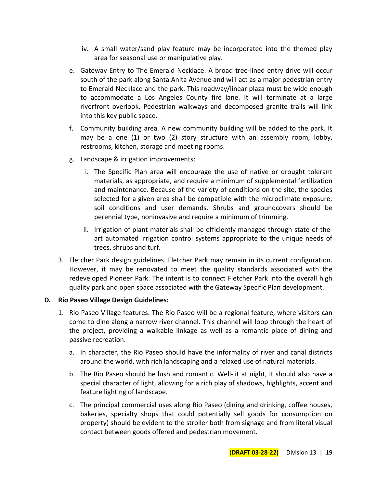- iv. A small water/sand play feature may be incorporated into the themed play area for seasonal use or manipulative play.
- e. Gateway Entry to The Emerald Necklace. A broad tree-lined entry drive will occur south of the park along Santa Anita Avenue and will act as a major pedestrian entry to Emerald Necklace and the park. This roadway/linear plaza must be wide enough to accommodate a Los Angeles County fire lane. It will terminate at a large riverfront overlook. Pedestrian walkways and decomposed granite trails will link into this key public space.
- f. Community building area. A new community building will be added to the park. It may be a one (1) or two (2) story structure with an assembly room, lobby, restrooms, kitchen, storage and meeting rooms.
- g. Landscape & irrigation improvements:
	- i. The Specific Plan area will encourage the use of native or drought tolerant materials, as appropriate, and require a minimum of supplemental fertilization and maintenance. Because of the variety of conditions on the site, the species selected for a given area shall be compatible with the microclimate exposure, soil conditions and user demands. Shrubs and groundcovers should be perennial type, noninvasive and require a minimum of trimming.
	- ii. Irrigation of plant materials shall be efficiently managed through state-of-theart automated irrigation control systems appropriate to the unique needs of trees, shrubs and turf.
- 3. Fletcher Park design guidelines. Fletcher Park may remain in its current configuration. However, it may be renovated to meet the quality standards associated with the redeveloped Pioneer Park. The intent is to connect Fletcher Park into the overall high quality park and open space associated with the Gateway Specific Plan development.

#### **D. Rio Paseo Village Design Guidelines:**

- 1. Rio Paseo Village features. The Rio Paseo will be a regional feature, where visitors can come to dine along a narrow river channel. This channel will loop through the heart of the project, providing a walkable linkage as well as a romantic place of dining and passive recreation.
	- a. In character, the Rio Paseo should have the informality of river and canal districts around the world, with rich landscaping and a relaxed use of natural materials.
	- b. The Rio Paseo should be lush and romantic. Well-lit at night, it should also have a special character of light, allowing for a rich play of shadows, highlights, accent and feature lighting of landscape.
	- c. The principal commercial uses along Rio Paseo (dining and drinking, coffee houses, bakeries, specialty shops that could potentially sell goods for consumption on property) should be evident to the stroller both from signage and from literal visual contact between goods offered and pedestrian movement.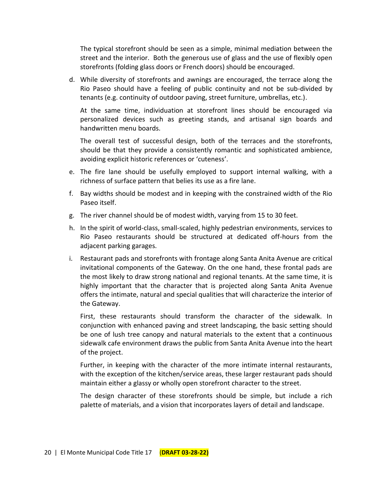The typical storefront should be seen as a simple, minimal mediation between the street and the interior. Both the generous use of glass and the use of flexibly open storefronts (folding glass doors or French doors) should be encouraged.

d. While diversity of storefronts and awnings are encouraged, the terrace along the Rio Paseo should have a feeling of public continuity and not be sub-divided by tenants (e.g. continuity of outdoor paving, street furniture, umbrellas, etc.).

At the same time, individuation at storefront lines should be encouraged via personalized devices such as greeting stands, and artisanal sign boards and handwritten menu boards.

The overall test of successful design, both of the terraces and the storefronts, should be that they provide a consistently romantic and sophisticated ambience, avoiding explicit historic references or 'cuteness'.

- e. The fire lane should be usefully employed to support internal walking, with a richness of surface pattern that belies its use as a fire lane.
- f. Bay widths should be modest and in keeping with the constrained width of the Rio Paseo itself.
- g. The river channel should be of modest width, varying from 15 to 30 feet.
- h. In the spirit of world-class, small-scaled, highly pedestrian environments, services to Rio Paseo restaurants should be structured at dedicated off-hours from the adjacent parking garages.
- i. Restaurant pads and storefronts with frontage along Santa Anita Avenue are critical invitational components of the Gateway. On the one hand, these frontal pads are the most likely to draw strong national and regional tenants. At the same time, it is highly important that the character that is projected along Santa Anita Avenue offers the intimate, natural and special qualities that will characterize the interior of the Gateway.

First, these restaurants should transform the character of the sidewalk. In conjunction with enhanced paving and street landscaping, the basic setting should be one of lush tree canopy and natural materials to the extent that a continuous sidewalk cafe environment draws the public from Santa Anita Avenue into the heart of the project.

Further, in keeping with the character of the more intimate internal restaurants, with the exception of the kitchen/service areas, these larger restaurant pads should maintain either a glassy or wholly open storefront character to the street.

The design character of these storefronts should be simple, but include a rich palette of materials, and a vision that incorporates layers of detail and landscape.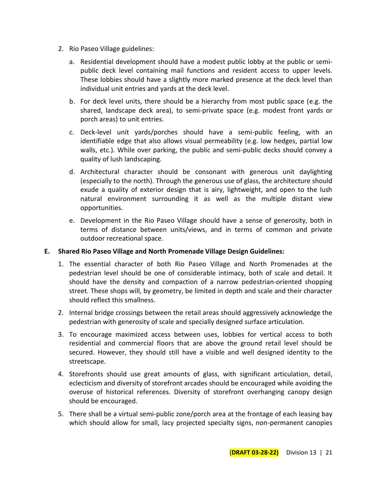- 2. Rio Paseo Village guidelines:
	- a. Residential development should have a modest public lobby at the public or semipublic deck level containing mail functions and resident access to upper levels. These lobbies should have a slightly more marked presence at the deck level than individual unit entries and yards at the deck level.
	- b. For deck level units, there should be a hierarchy from most public space (e.g. the shared, landscape deck area), to semi-private space (e.g. modest front yards or porch areas) to unit entries.
	- c. Deck-level unit yards/porches should have a semi-public feeling, with an identifiable edge that also allows visual permeability (e.g. low hedges, partial low walls, etc.). While over parking, the public and semi-public decks should convey a quality of lush landscaping.
	- d. Architectural character should be consonant with generous unit daylighting (especially to the north). Through the generous use of glass, the architecture should exude a quality of exterior design that is airy, lightweight, and open to the lush natural environment surrounding it as well as the multiple distant view opportunities.
	- e. Development in the Rio Paseo Village should have a sense of generosity, both in terms of distance between units/views, and in terms of common and private outdoor recreational space.

## **E. Shared Rio Paseo Village and North Promenade Village Design Guidelines:**

- 1. The essential character of both Rio Paseo Village and North Promenades at the pedestrian level should be one of considerable intimacy, both of scale and detail. It should have the density and compaction of a narrow pedestrian-oriented shopping street. These shops will, by geometry, be limited in depth and scale and their character should reflect this smallness.
- 2. Internal bridge crossings between the retail areas should aggressively acknowledge the pedestrian with generosity of scale and specially designed surface articulation.
- 3. To encourage maximized access between uses, lobbies for vertical access to both residential and commercial floors that are above the ground retail level should be secured. However, they should still have a visible and well designed identity to the streetscape.
- 4. Storefronts should use great amounts of glass, with significant articulation, detail, eclecticism and diversity of storefront arcades should be encouraged while avoiding the overuse of historical references. Diversity of storefront overhanging canopy design should be encouraged.
- 5. There shall be a virtual semi-public zone/porch area at the frontage of each leasing bay which should allow for small, lacy projected specialty signs, non-permanent canopies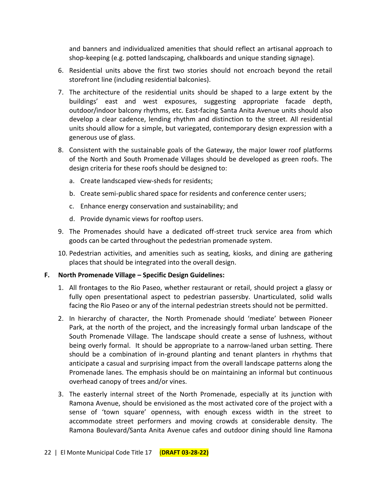and banners and individualized amenities that should reflect an artisanal approach to shop-keeping (e.g. potted landscaping, chalkboards and unique standing signage).

- 6. Residential units above the first two stories should not encroach beyond the retail storefront line (including residential balconies).
- 7. The architecture of the residential units should be shaped to a large extent by the buildings' east and west exposures, suggesting appropriate facade depth, outdoor/indoor balcony rhythms, etc. East-facing Santa Anita Avenue units should also develop a clear cadence, lending rhythm and distinction to the street. All residential units should allow for a simple, but variegated, contemporary design expression with a generous use of glass.
- 8. Consistent with the sustainable goals of the Gateway, the major lower roof platforms of the North and South Promenade Villages should be developed as green roofs. The design criteria for these roofs should be designed to:
	- a. Create landscaped view-sheds for residents;
	- b. Create semi-public shared space for residents and conference center users;
	- c. Enhance energy conservation and sustainability; and
	- d. Provide dynamic views for rooftop users.
- 9. The Promenades should have a dedicated off-street truck service area from which goods can be carted throughout the pedestrian promenade system.
- 10. Pedestrian activities, and amenities such as seating, kiosks, and dining are gathering places that should be integrated into the overall design.

#### **F. North Promenade Village – Specific Design Guidelines:**

- 1. All frontages to the Rio Paseo, whether restaurant or retail, should project a glassy or fully open presentational aspect to pedestrian passersby. Unarticulated, solid walls facing the Rio Paseo or any of the internal pedestrian streets should not be permitted.
- 2. In hierarchy of character, the North Promenade should 'mediate' between Pioneer Park, at the north of the project, and the increasingly formal urban landscape of the South Promenade Village. The landscape should create a sense of lushness, without being overly formal. It should be appropriate to a narrow-laned urban setting. There should be a combination of in-ground planting and tenant planters in rhythms that anticipate a casual and surprising impact from the overall landscape patterns along the Promenade lanes. The emphasis should be on maintaining an informal but continuous overhead canopy of trees and/or vines.
- 3. The easterly internal street of the North Promenade, especially at its junction with Ramona Avenue, should be envisioned as the most activated core of the project with a sense of 'town square' openness, with enough excess width in the street to accommodate street performers and moving crowds at considerable density. The Ramona Boulevard/Santa Anita Avenue cafes and outdoor dining should line Ramona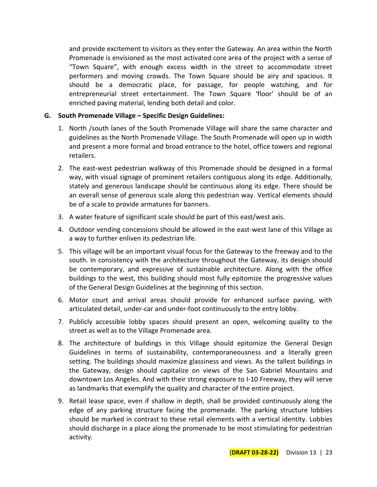and provide excitement to visitors as they enter the Gateway. An area within the North Promenade is envisioned as the most activated core area of the project with a sense of "Town Square", with enough excess width in the street to accommodate street performers and moving crowds. The Town Square should be airy and spacious. It should be a democratic place, for passage, for people watching, and for entrepreneurial street entertainment. The Town Square 'floor' should be of an enriched paving material, lending both detail and color.

## **G. South Promenade Village – Specific Design Guidelines:**

- 1. North /south lanes of the South Promenade Village will share the same character and guidelines as the North Promenade Village. The South Promenade will open up in width and present a more formal and broad entrance to the hotel, office towers and regional retailers.
- 2. The east-west pedestrian walkway of this Promenade should be designed in a formal way, with visual signage of prominent retailers contiguous along its edge. Additionally, stately and generous landscape should be continuous along its edge. There should be an overall sense of generous scale along this pedestrian way. Vertical elements should be of a scale to provide armatures for banners.
- 3. A water feature of significant scale should be part of this east/west axis.
- 4. Outdoor vending concessions should be allowed in the east-west lane of this Village as a way to further enliven its pedestrian life.
- 5. This village will be an important visual focus for the Gateway to the freeway and to the south. In consistency with the architecture throughout the Gateway, its design should be contemporary, and expressive of sustainable architecture. Along with the office buildings to the west, this building should most fully epitomize the progressive values of the General Design Guidelines at the beginning of this section.
- 6. Motor court and arrival areas should provide for enhanced surface paving, with articulated detail, under-car and under-foot continuously to the entry lobby.
- 7. Publicly accessible lobby spaces should present an open, welcoming quality to the street as well as to the Village Promenade area.
- 8. The architecture of buildings in this Village should epitomize the General Design Guidelines in terms of sustainability, contemporaneousness and a literally green setting. The buildings should maximize glassiness and views. As the tallest buildings in the Gateway, design should capitalize on views of the San Gabriel Mountains and downtown Los Angeles. And with their strong exposure to I-10 Freeway, they will serve as landmarks that exemplify the quality and character of the entire project.
- 9. Retail lease space, even if shallow in depth, shall be provided continuously along the edge of any parking structure facing the promenade. The parking structure lobbies should be marked in contrast to these retail elements with a vertical identity. Lobbies should discharge in a place along the promenade to be most stimulating for pedestrian activity.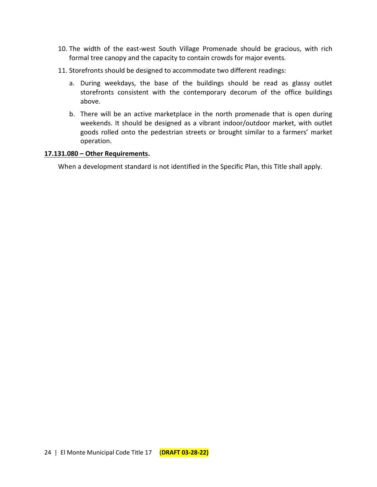- 10. The width of the east-west South Village Promenade should be gracious, with rich formal tree canopy and the capacity to contain crowds for major events.
- 11. Storefronts should be designed to accommodate two different readings:
	- a. During weekdays, the base of the buildings should be read as glassy outlet storefronts consistent with the contemporary decorum of the office buildings above.
	- b. There will be an active marketplace in the north promenade that is open during weekends. It should be designed as a vibrant indoor/outdoor market, with outlet goods rolled onto the pedestrian streets or brought similar to a farmers' market operation.

#### **17.131.080 – Other Requirements.**

When a development standard is not identified in the Specific Plan, this Title shall apply.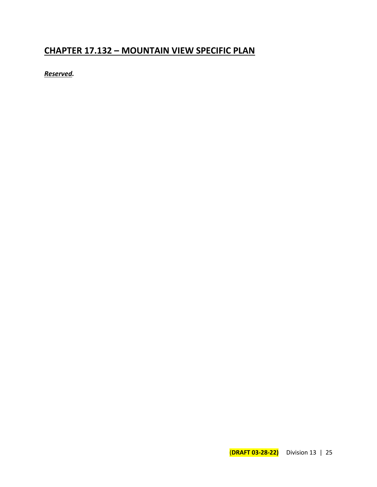## **CHAPTER 17.132 – MOUNTAIN VIEW SPECIFIC PLAN**

*Reserved.*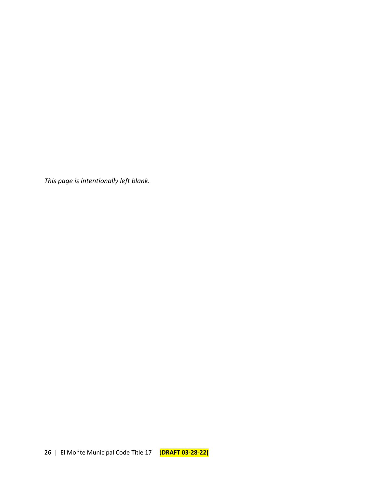*This page is intentionally left blank.*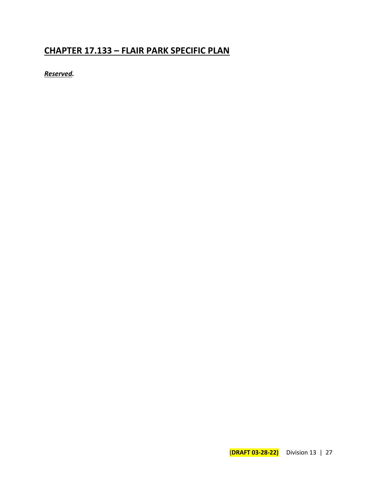## **CHAPTER 17.133 – FLAIR PARK SPECIFIC PLAN**

*Reserved.*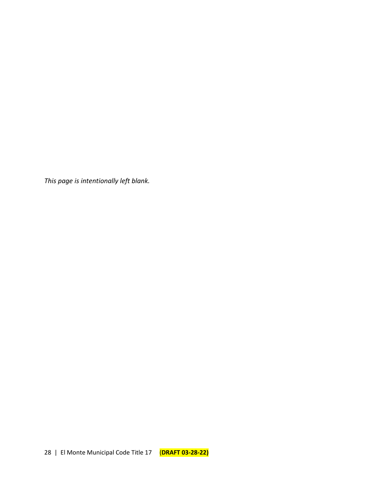*This page is intentionally left blank.*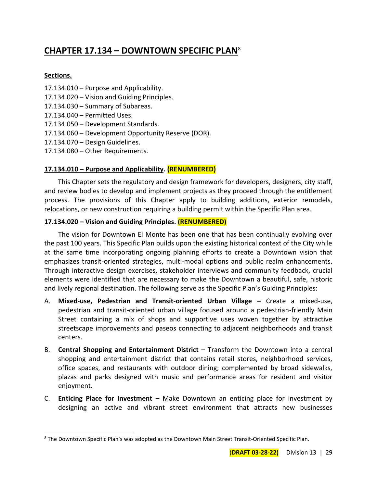# **CHAPTER 17.134 – DOWNTOWN SPECIFIC PLAN**<sup>8</sup>

## **Sections.**

- 17.134.010 Purpose and Applicability.
- 17.134.020 Vision and Guiding Principles.
- 17.134.030 Summary of Subareas.
- 17.134.040 Permitted Uses.
- 17.134.050 Development Standards.
- 17.134.060 Development Opportunity Reserve (DOR).
- 17.134.070 Design Guidelines.
- 17.134.080 Other Requirements.

## **17.134.010 – Purpose and Applicability. (RENUMBERED)**

This Chapter sets the regulatory and design framework for developers, designers, city staff, and review bodies to develop and implement projects as they proceed through the entitlement process. The provisions of this Chapter apply to building additions, exterior remodels, relocations, or new construction requiring a building permit within the Specific Plan area.

## **17.134.020 – Vision and Guiding Principles. (RENUMBERED)**

The vision for Downtown El Monte has been one that has been continually evolving over the past 100 years. This Specific Plan builds upon the existing historical context of the City while at the same time incorporating ongoing planning efforts to create a Downtown vision that emphasizes transit-oriented strategies, multi-modal options and public realm enhancements. Through interactive design exercises, stakeholder interviews and community feedback, crucial elements were identified that are necessary to make the Downtown a beautiful, safe, historic and lively regional destination. The following serve as the Specific Plan's Guiding Principles:

- A. **Mixed-use, Pedestrian and Transit-oriented Urban Village –** Create a mixed-use, pedestrian and transit-oriented urban village focused around a pedestrian-friendly Main Street containing a mix of shops and supportive uses woven together by attractive streetscape improvements and paseos connecting to adjacent neighborhoods and transit centers.
- B. **Central Shopping and Entertainment District –** Transform the Downtown into a central shopping and entertainment district that contains retail stores, neighborhood services, office spaces, and restaurants with outdoor dining; complemented by broad sidewalks, plazas and parks designed with music and performance areas for resident and visitor enjoyment.
- C. **Enticing Place for Investment –** Make Downtown an enticing place for investment by designing an active and vibrant street environment that attracts new businesses

<sup>&</sup>lt;sup>8</sup> The Downtown Specific Plan's was adopted as the Downtown Main Street Transit-Oriented Specific Plan.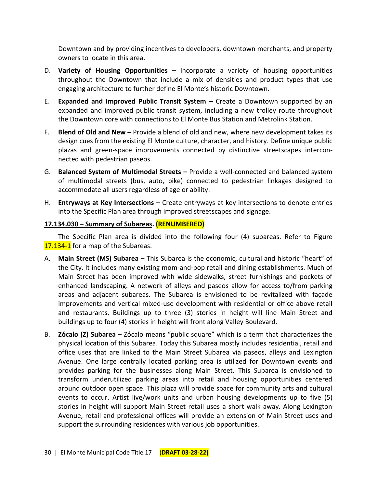Downtown and by providing incentives to developers, downtown merchants, and property owners to locate in this area.

- D. **Variety of Housing Opportunities –** Incorporate a variety of housing opportunities throughout the Downtown that include a mix of densities and product types that use engaging architecture to further define El Monte's historic Downtown.
- E. **Expanded and Improved Public Transit System –** Create a Downtown supported by an expanded and improved public transit system, including a new trolley route throughout the Downtown core with connections to El Monte Bus Station and Metrolink Station.
- F. **Blend of Old and New –** Provide a blend of old and new, where new development takes its design cues from the existing El Monte culture, character, and history. Define unique public plazas and green-space improvements connected by distinctive streetscapes interconnected with pedestrian paseos.
- G. **Balanced System of Multimodal Streets –** Provide a well-connected and balanced system of multimodal streets (bus, auto, bike) connected to pedestrian linkages designed to accommodate all users regardless of age or ability.
- H. **Entryways at Key Intersections –** Create entryways at key intersections to denote entries into the Specific Plan area through improved streetscapes and signage.

## **17.134.030 – Summary of Subareas. (RENUMBERED)**

The Specific Plan area is divided into the following four (4) subareas. Refer to Figure 17.134-1 for a map of the Subareas.

- A. **Main Street (MS) Subarea –** This Subarea is the economic, cultural and historic "heart" of the City. It includes many existing mom-and-pop retail and dining establishments. Much of Main Street has been improved with wide sidewalks, street furnishings and pockets of enhanced landscaping. A network of alleys and paseos allow for access to/from parking areas and adjacent subareas. The Subarea is envisioned to be revitalized with façade improvements and vertical mixed-use development with residential or office above retail and restaurants. Buildings up to three (3) stories in height will line Main Street and buildings up to four (4) stories in height will front along Valley Boulevard.
- B. **Zόcalo (Z) Subarea –** Zόcalo means "public square" which is a term that characterizes the physical location of this Subarea. Today this Subarea mostly includes residential, retail and office uses that are linked to the Main Street Subarea via paseos, alleys and Lexington Avenue. One large centrally located parking area is utilized for Downtown events and provides parking for the businesses along Main Street. This Subarea is envisioned to transform underutilized parking areas into retail and housing opportunities centered around outdoor open space. This plaza will provide space for community arts and cultural events to occur. Artist live/work units and urban housing developments up to five (5) stories in height will support Main Street retail uses a short walk away. Along Lexington Avenue, retail and professional offices will provide an extension of Main Street uses and support the surrounding residences with various job opportunities.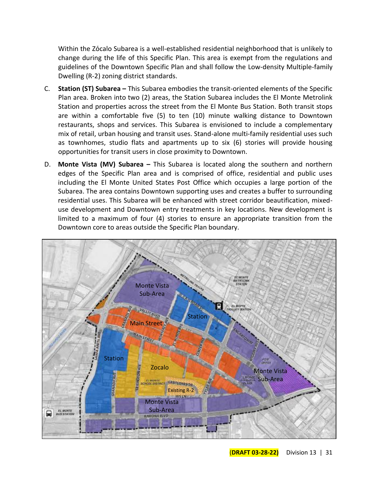Within the Zόcalo Subarea is a well-established residential neighborhood that is unlikely to change during the life of this Specific Plan. This area is exempt from the regulations and guidelines of the Downtown Specific Plan and shall follow the Low-density Multiple-family Dwelling (R-2) zoning district standards.

- C. **Station (ST) Subarea –** This Subarea embodies the transit-oriented elements of the Specific Plan area. Broken into two (2) areas, the Station Subarea includes the El Monte Metrolink Station and properties across the street from the El Monte Bus Station. Both transit stops are within a comfortable five (5) to ten (10) minute walking distance to Downtown restaurants, shops and services. This Subarea is envisioned to include a complementary mix of retail, urban housing and transit uses. Stand-alone multi-family residential uses such as townhomes, studio flats and apartments up to six (6) stories will provide housing opportunities for transit users in close proximity to Downtown.
- D. **Monte Vista (MV) Subarea –** This Subarea is located along the southern and northern edges of the Specific Plan area and is comprised of office, residential and public uses including the El Monte United States Post Office which occupies a large portion of the Subarea. The area contains Downtown supporting uses and creates a buffer to surrounding residential uses. This Subarea will be enhanced with street corridor beautification, mixeduse development and Downtown entry treatments in key locations. New development is limited to a maximum of four (4) stories to ensure an appropriate transition from the Downtown core to areas outside the Specific Plan boundary.

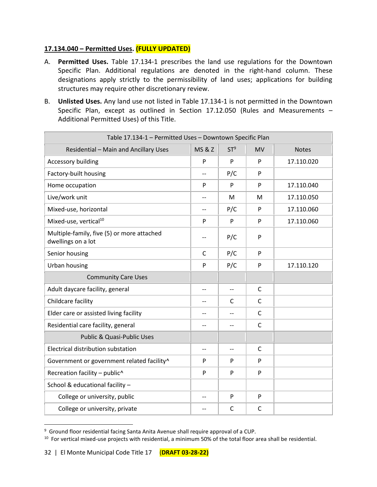## **17.134.040 – Permitted Uses. (FULLY UPDATED)**

- A. **Permitted Uses.** Table 17.134-1 prescribes the land use regulations for the Downtown Specific Plan. Additional regulations are denoted in the right-hand column. These designations apply strictly to the permissibility of land uses; applications for building structures may require other discretionary review.
- B. **Unlisted Uses.** Any land use not listed in Table 17.134-1 is not permitted in the Downtown Specific Plan, except as outlined in Section 17.12.050 (Rules and Measurements – Additional Permitted Uses) of this Title.

| Table 17.134-1 - Permitted Uses - Downtown Specific Plan         |                          |                          |              |              |  |
|------------------------------------------------------------------|--------------------------|--------------------------|--------------|--------------|--|
| Residential - Main and Ancillary Uses                            | <b>MS &amp; Z</b>        | ST <sup>9</sup>          | <b>MV</b>    | <b>Notes</b> |  |
| Accessory building                                               | P                        | P                        | P            | 17.110.020   |  |
| Factory-built housing                                            |                          | P/C                      | P            |              |  |
| Home occupation                                                  | P                        | P                        | P            | 17.110.040   |  |
| Live/work unit                                                   | $-$                      | M                        | M            | 17.110.050   |  |
| Mixed-use, horizontal                                            | $-$                      | P/C                      | P            | 17.110.060   |  |
| Mixed-use, vertical <sup>10</sup>                                | P                        | P                        | P            | 17.110.060   |  |
| Multiple-family, five (5) or more attached<br>dwellings on a lot |                          | P/C                      | P            |              |  |
| Senior housing                                                   | $\mathsf{C}$             | P/C                      | P            |              |  |
| Urban housing                                                    | P                        | P/C                      | P            | 17.110.120   |  |
| <b>Community Care Uses</b>                                       |                          |                          |              |              |  |
| Adult daycare facility, general                                  |                          |                          | $\mathsf{C}$ |              |  |
| Childcare facility                                               | --                       | $\mathsf{C}$             | $\mathsf{C}$ |              |  |
| Elder care or assisted living facility                           | $-$                      | $\overline{\phantom{a}}$ | $\mathsf{C}$ |              |  |
| Residential care facility, general                               |                          |                          | $\mathsf{C}$ |              |  |
| <b>Public &amp; Quasi-Public Uses</b>                            |                          |                          |              |              |  |
| Electrical distribution substation                               | $\overline{\phantom{a}}$ | $\overline{\phantom{a}}$ | C            |              |  |
| Government or government related facility^                       | P                        | P                        | P            |              |  |
| Recreation facility - public^                                    | P                        | P                        | P            |              |  |
| School & educational facility -                                  |                          |                          |              |              |  |
| College or university, public                                    | $\overline{\phantom{a}}$ | P                        | P            |              |  |
| College or university, private                                   | $-$                      | $\mathsf{C}$             | $\mathsf{C}$ |              |  |

<sup>9</sup> Ground floor residential facing Santa Anita Avenue shall require approval of a CUP.

<sup>&</sup>lt;sup>10</sup> For vertical mixed-use projects with residential, a minimum 50% of the total floor area shall be residential.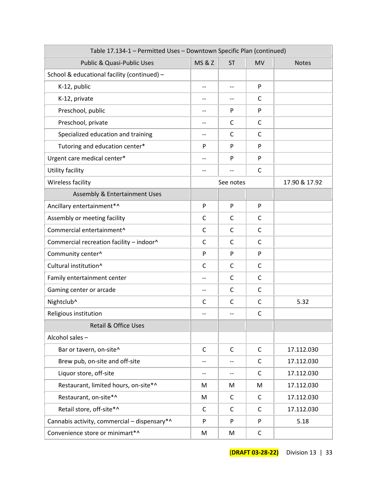|                                              | Table 17.134-1 - Permitted Uses - Downtown Specific Plan (continued) |              |              |               |  |
|----------------------------------------------|----------------------------------------------------------------------|--------------|--------------|---------------|--|
| Public & Quasi-Public Uses                   | <b>MS &amp; Z</b>                                                    | <b>ST</b>    | <b>MV</b>    | <b>Notes</b>  |  |
| School & educational facility (continued) -  |                                                                      |              |              |               |  |
| K-12, public                                 | $-$                                                                  | $-$          | P            |               |  |
| K-12, private                                | --                                                                   | --           | C            |               |  |
| Preschool, public                            | --                                                                   | P            | P            |               |  |
| Preschool, private                           | --                                                                   | C            | $\mathsf{C}$ |               |  |
| Specialized education and training           | $\overline{\phantom{a}}$                                             | C            | C            |               |  |
| Tutoring and education center*               | P                                                                    | P            | P            |               |  |
| Urgent care medical center*                  | $-$                                                                  | P            | P            |               |  |
| Utility facility                             | --                                                                   |              | $\mathsf{C}$ |               |  |
| Wireless facility                            |                                                                      | See notes    |              | 17.90 & 17.92 |  |
| Assembly & Entertainment Uses                |                                                                      |              |              |               |  |
| Ancillary entertainment*^                    | P                                                                    | P            | P            |               |  |
| Assembly or meeting facility                 | C                                                                    | $\mathsf{C}$ | $\mathsf{C}$ |               |  |
| Commercial entertainment^                    | C                                                                    | C            | C            |               |  |
| Commercial recreation facility - indoor^     | С                                                                    | C            | C            |               |  |
| Community center^                            | P                                                                    | P            | P            |               |  |
| Cultural institution^                        | C                                                                    | $\mathsf{C}$ | $\mathsf{C}$ |               |  |
| Family entertainment center                  | --                                                                   | C            | C            |               |  |
| Gaming center or arcade                      | --                                                                   | $\mathsf{C}$ | $\mathsf{C}$ |               |  |
| Nightclub^                                   | C                                                                    | C            | $\mathsf{C}$ | 5.32          |  |
| Religious institution                        |                                                                      |              | $\mathsf{C}$ |               |  |
| <b>Retail &amp; Office Uses</b>              |                                                                      |              |              |               |  |
| Alcohol sales-                               |                                                                      |              |              |               |  |
| Bar or tavern, on-site^                      | $\mathsf{C}$                                                         | $\mathsf{C}$ | $\mathsf{C}$ | 17.112.030    |  |
| Brew pub, on-site and off-site               | --                                                                   | --           | $\mathsf{C}$ | 17.112.030    |  |
| Liquor store, off-site                       | --                                                                   | --           | $\mathsf{C}$ | 17.112.030    |  |
| Restaurant, limited hours, on-site*^         | M                                                                    | M            | M            | 17.112.030    |  |
| Restaurant, on-site*^                        | M                                                                    | C            | C            | 17.112.030    |  |
| Retail store, off-site*^                     | $\mathsf{C}$                                                         | C            | $\mathsf{C}$ | 17.112.030    |  |
| Cannabis activity, commercial - dispensary*^ | P                                                                    | P            | P            | 5.18          |  |
| Convenience store or minimart*^              | M                                                                    | M            | C            |               |  |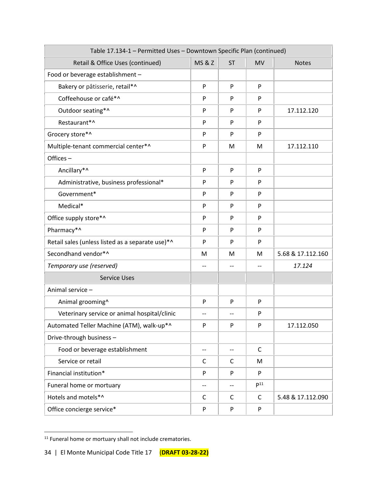| Table 17.134-1 - Permitted Uses - Downtown Specific Plan (continued) |                          |                                       |                 |                   |
|----------------------------------------------------------------------|--------------------------|---------------------------------------|-----------------|-------------------|
| Retail & Office Uses (continued)                                     | <b>MS &amp; Z</b>        | <b>ST</b>                             | MV              | <b>Notes</b>      |
| Food or beverage establishment -                                     |                          |                                       |                 |                   |
| Bakery or pâtisserie, retail*^                                       | ${\sf P}$                | $\mathsf{P}$                          | P               |                   |
| Coffeehouse or café*^                                                | P                        | P                                     | P               |                   |
| Outdoor seating*^                                                    | P                        | P                                     | P               | 17.112.120        |
| Restaurant*^                                                         | P                        | P                                     | P               |                   |
| Grocery store*^                                                      | P                        | P                                     | P               |                   |
| Multiple-tenant commercial center*^                                  | P                        | M                                     | M               | 17.112.110        |
| Offices-                                                             |                          |                                       |                 |                   |
| Ancillary*^                                                          | P                        | P                                     | P               |                   |
| Administrative, business professional*                               | P                        | P                                     | P               |                   |
| Government*                                                          | P                        | P                                     | P               |                   |
| Medical*                                                             | P                        | P                                     | P               |                   |
| Office supply store*^                                                | P                        | P                                     | P               |                   |
| Pharmacy*^                                                           | P                        | P                                     | P               |                   |
| Retail sales (unless listed as a separate use)*^                     | P                        | P                                     | P               |                   |
| Secondhand vendor*^                                                  | M                        | M                                     | м               | 5.68 & 17.112.160 |
| Temporary use (reserved)                                             | $-$                      | $\overline{\phantom{a}}$              |                 | 17.124            |
| <b>Service Uses</b>                                                  |                          |                                       |                 |                   |
| Animal service -                                                     |                          |                                       |                 |                   |
| Animal grooming^                                                     | P                        | P                                     | P               |                   |
| Veterinary service or animal hospital/clinic                         | $\overline{\phantom{a}}$ | $-$                                   | P               |                   |
| Automated Teller Machine (ATM), walk-up*^                            | P                        | P                                     | P               | 17.112.050        |
| Drive-through business -                                             |                          |                                       |                 |                   |
| Food or beverage establishment                                       | --                       |                                       | C               |                   |
| Service or retail                                                    | C                        | C                                     | M               |                   |
| Financial institution*                                               | P                        | P                                     | P               |                   |
| Funeral home or mortuary                                             | --                       | $\hspace{0.05cm}$ – $\hspace{0.05cm}$ | P <sup>11</sup> |                   |
| Hotels and motels*^                                                  | C                        | C                                     | C               | 5.48 & 17.112.090 |
| Office concierge service*                                            | P                        | P                                     | P               |                   |

 $^{11}$  Funeral home or mortuary shall not include crematories.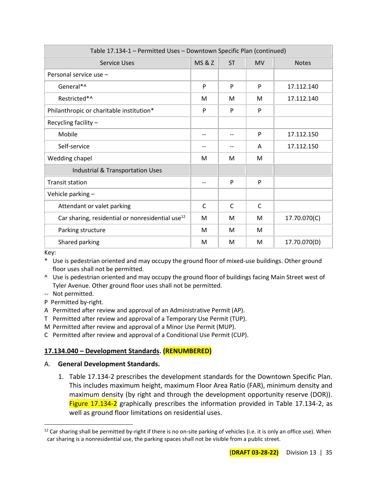| Table 17.134-1 - Permitted Uses - Downtown Specific Plan (continued) |                   |           |              |              |  |
|----------------------------------------------------------------------|-------------------|-----------|--------------|--------------|--|
| <b>Service Uses</b>                                                  | <b>MS &amp; Z</b> | <b>ST</b> | <b>MV</b>    | <b>Notes</b> |  |
| Personal service use -                                               |                   |           |              |              |  |
| General*^                                                            | P                 | P         | P            | 17.112.140   |  |
| Restricted*^                                                         | M                 | M         | M            | 17.112.140   |  |
| Philanthropic or charitable institution*                             | P                 | P         | P            |              |  |
| Recycling facility -                                                 |                   |           |              |              |  |
| Mobile                                                               | --                | --        | P            | 17.112.150   |  |
| Self-service                                                         | --                | --        | A            | 17.112.150   |  |
| Wedding chapel                                                       | M                 | M         | M            |              |  |
| Industrial & Transportation Uses                                     |                   |           |              |              |  |
| <b>Transit station</b>                                               | $-$               | P         | P            |              |  |
| Vehicle parking -                                                    |                   |           |              |              |  |
| Attendant or valet parking                                           | $\mathsf{C}$      | C         | $\mathsf{C}$ |              |  |
| Car sharing, residential or nonresidential use <sup>12</sup>         | M                 | М         | M            | 17.70.070(C) |  |
| Parking structure                                                    | M                 | M         | M            |              |  |
| Shared parking                                                       | M                 | M         | M            | 17.70.070(D) |  |

Key:

- \* Use is pedestrian oriented and may occupy the ground floor of mixed-use buildings. Other ground floor uses shall not be permitted.
- ^ Use is pedestrian oriented and may occupy the ground floor of buildings facing Main Street west of Tyler Avenue. Other ground floor uses shall not be permitted.
- -- Not permitted.
- P Permitted by-right.
- A Permitted after review and approval of an Administrative Permit (AP).
- T Permitted after review and approval of a Temporary Use Permit (TUP).
- M Permitted after review and approval of a Minor Use Permit (MUP).
- C Permitted after review and approval of a Conditional Use Permit (CUP).

## **17.134.040 – Development Standards. (RENUMBERED)**

- A. **General Development Standards.**
	- 1. Table 17.134-2 prescribes the development standards for the Downtown Specific Plan. This includes maximum height, maximum Floor Area Ratio (FAR), minimum density and maximum density (by right and through the development opportunity reserve (DOR)). Figure 17.134-2 graphically prescribes the information provided in Table 17.134-2, as well as ground floor limitations on residential uses.

<sup>&</sup>lt;sup>12</sup> Car sharing shall be permitted by-right if there is no on-site parking of vehicles (i.e. it is only an office use). When car sharing is a nonresidential use, the parking spaces shall not be visible from a public street.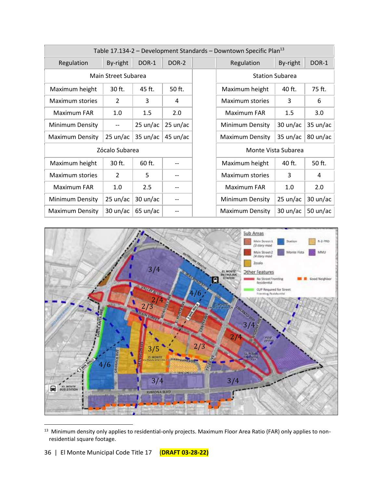| Table 17.134-2 - Development Standards - Downtown Specific Plan <sup>13</sup> |                     |                    |                    |  |                        |                        |                    |
|-------------------------------------------------------------------------------|---------------------|--------------------|--------------------|--|------------------------|------------------------|--------------------|
| Regulation                                                                    | By-right            | <b>DOR-1</b>       | <b>DOR-2</b>       |  | Regulation             | By-right               | DOR-1              |
|                                                                               | Main Street Subarea |                    |                    |  |                        | <b>Station Subarea</b> |                    |
| Maximum height                                                                | 30 ft.              | 45 ft.             | 50 ft.             |  | Maximum height         | 40 ft.                 | 75 ft.             |
| Maximum stories                                                               | $\overline{2}$      | 3                  | 4                  |  | Maximum stories        | 3                      | 6                  |
| Maximum FAR                                                                   | 1.0                 | 1.5                | 2.0                |  | Maximum FAR            | 1.5                    | 3.0                |
| Minimum Density                                                               | $-$                 | $25 \text{ un/ac}$ | $25 \text{ un/ac}$ |  | Minimum Density        | $30 \text{ un/ac}$     | $35 \text{ un/ac}$ |
| <b>Maximum Density</b>                                                        | $25 \text{ un/ac}$  | $35 \text{ un/ac}$ | $45 \text{ un/ac}$ |  | <b>Maximum Density</b> | $35 \text{ un/ac}$     | 80 un/ac           |
|                                                                               | Zócalo Subarea      |                    |                    |  |                        | Monte Vista Subarea    |                    |
| Maximum height                                                                | 30 ft.              | 60 ft.             |                    |  | Maximum height         | 40 ft.                 | 50 ft.             |
| <b>Maximum stories</b>                                                        | $\mathcal{P}$       | 5                  | --                 |  | <b>Maximum stories</b> | 3                      | 4                  |
| Maximum FAR                                                                   | 1.0                 | 2.5                | --                 |  | <b>Maximum FAR</b>     | 1.0                    | 2.0                |
| Minimum Density                                                               | $25 \text{ un/ac}$  | $30 \text{ un/ac}$ | --                 |  | Minimum Density        | $25 \text{ un/ac}$     | $30 \text{ un/ac}$ |
| Maximum Density                                                               | $30 \text{ un/ac}$  | $65 \text{ un/ac}$ | --                 |  | <b>Maximum Density</b> | $30 \text{ un/ac}$     | 50 $un/ac$         |



<sup>&</sup>lt;sup>13</sup> Minimum density only applies to residential-only projects. Maximum Floor Area Ratio (FAR) only applies to nonresidential square footage.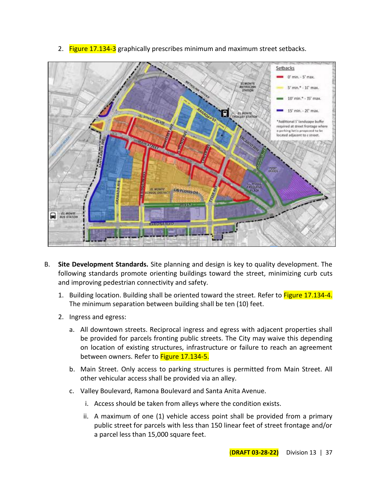

2. Figure 17.134-3 graphically prescribes minimum and maximum street setbacks.

- B. **Site Development Standards.** Site planning and design is key to quality development. The following standards promote orienting buildings toward the street, minimizing curb cuts and improving pedestrian connectivity and safety.
	- 1. Building location. Building shall be oriented toward the street. Refer to Figure 17.134-4. The minimum separation between building shall be ten (10) feet.
	- 2. Ingress and egress:
		- a. All downtown streets. Reciprocal ingress and egress with adjacent properties shall be provided for parcels fronting public streets. The City may waive this depending on location of existing structures, infrastructure or failure to reach an agreement between owners. Refer to Figure 17.134-5.
		- b. Main Street. Only access to parking structures is permitted from Main Street. All other vehicular access shall be provided via an alley.
		- c. Valley Boulevard, Ramona Boulevard and Santa Anita Avenue.
			- i. Access should be taken from alleys where the condition exists.
			- ii. A maximum of one (1) vehicle access point shall be provided from a primary public street for parcels with less than 150 linear feet of street frontage and/or a parcel less than 15,000 square feet.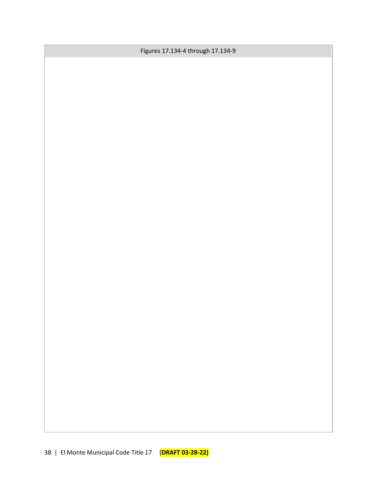Figures 17.134-4 through 17.134-9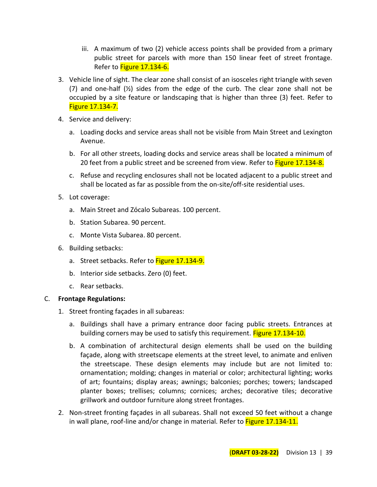- iii. A maximum of two (2) vehicle access points shall be provided from a primary public street for parcels with more than 150 linear feet of street frontage. Refer to Figure 17.134-6.
- 3. Vehicle line of sight. The clear zone shall consist of an isosceles right triangle with seven (7) and one-half  $(\frac{1}{2})$  sides from the edge of the curb. The clear zone shall not be occupied by a site feature or landscaping that is higher than three (3) feet. Refer to Figure 17.134-7.
- 4. Service and delivery:
	- a. Loading docks and service areas shall not be visible from Main Street and Lexington Avenue.
	- b. For all other streets, loading docks and service areas shall be located a minimum of 20 feet from a public street and be screened from view. Refer to Figure 17.134-8.
	- c. Refuse and recycling enclosures shall not be located adjacent to a public street and shall be located as far as possible from the on-site/off-site residential uses.
- 5. Lot coverage:
	- a. Main Street and Zόcalo Subareas. 100 percent.
	- b. Station Subarea. 90 percent.
	- c. Monte Vista Subarea. 80 percent.
- 6. Building setbacks:
	- a. Street setbacks. Refer to Figure 17.134-9.
	- b. Interior side setbacks. Zero (0) feet.
	- c. Rear setbacks.

#### C. **Frontage Regulations:**

- 1. Street fronting façades in all subareas:
	- a. Buildings shall have a primary entrance door facing public streets. Entrances at building corners may be used to satisfy this requirement. Figure 17.134-10.
	- b. A combination of architectural design elements shall be used on the building façade, along with streetscape elements at the street level, to animate and enliven the streetscape. These design elements may include but are not limited to: ornamentation; molding; changes in material or color; architectural lighting; works of art; fountains; display areas; awnings; balconies; porches; towers; landscaped planter boxes; trellises; columns; cornices; arches; decorative tiles; decorative grillwork and outdoor furniture along street frontages.
- 2. Non-street fronting façades in all subareas. Shall not exceed 50 feet without a change in wall plane, roof-line and/or change in material. Refer to **Figure 17.134-11.**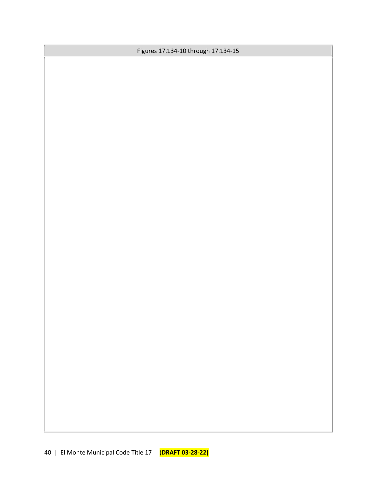Figures 17.134-10 through 17.134-15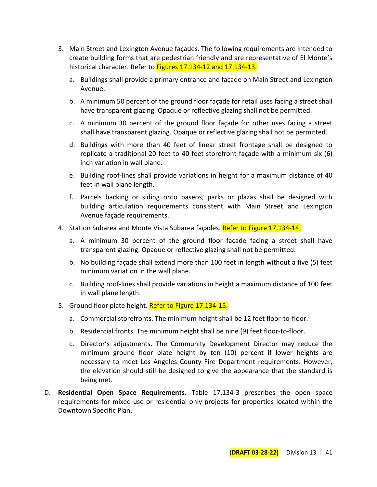- 3. Main Street and Lexington Avenue façades. The following requirements are intended to create building forms that are pedestrian friendly and are representative of El Monte's historical character. Refer to Figures 17.134-12 and 17.134-13.
	- a. Buildings shall provide a primary entrance and façade on Main Street and Lexington Avenue.
	- b. A minimum 50 percent of the ground floor façade for retail uses facing a street shall have transparent glazing. Opaque or reflective glazing shall not be permitted.
	- c. A minimum 30 percent of the ground floor façade for other uses facing a street shall have transparent glazing. Opaque or reflective glazing shall not be permitted.
	- d. Buildings with more than 40 feet of linear street frontage shall be designed to replicate a traditional 20 feet to 40 feet storefront façade with a minimum six (6) inch variation in wall plane.
	- e. Building roof-lines shall provide variations in height for a maximum distance of 40 feet in wall plane length.
	- f. Parcels backing or siding onto paseos, parks or plazas shall be designed with building articulation requirements consistent with Main Street and Lexington Avenue façade requirements.
- 4. Station Subarea and Monte Vista Subarea facades. Refer to Figure 17.134-14.
	- a. A minimum 30 percent of the ground floor façade facing a street shall have transparent glazing. Opaque or reflective glazing shall not be permitted.
	- b. No building façade shall extend more than 100 feet in length without a five (5) feet minimum variation in the wall plane.
	- c. Building roof-lines shall provide variations in height a maximum distance of 100 feet in wall plane length.
- 5. Ground floor plate height. Refer to Figure 17.134-15.
	- a. Commercial storefronts. The minimum height shall be 12 feet floor-to-floor.
	- b. Residential fronts. The minimum height shall be nine (9) feet floor-to-floor.
	- c. Director's adjustments. The Community Development Director may reduce the minimum ground floor plate height by ten (10) percent if lower heights are necessary to meet Los Angeles County Fire Department requirements. However, the elevation should still be designed to give the appearance that the standard is being met.
- D. **Residential Open Space Requirements.** Table 17.134-3 prescribes the open space requirements for mixed-use or residential only projects for properties located within the Downtown Specific Plan.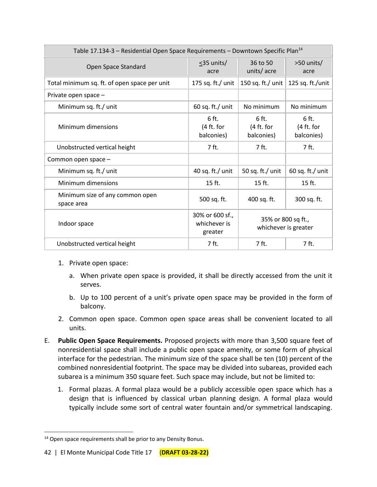| Table 17.134-3 – Residential Open Space Requirements – Downtown Specific Plan <sup>14</sup> |                                            |                                            |                                   |  |  |  |
|---------------------------------------------------------------------------------------------|--------------------------------------------|--------------------------------------------|-----------------------------------|--|--|--|
| Open Space Standard                                                                         | $\leq$ 35 units/<br>acre                   | 36 to 50<br>units/acre                     | >50 units/<br>acre                |  |  |  |
| Total minimum sq. ft. of open space per unit                                                | 175 sq. ft./ unit                          | 150 sq. ft./ unit                          | 125 sq. $ft./unit$                |  |  |  |
| Private open space -                                                                        |                                            |                                            |                                   |  |  |  |
| Minimum sq. ft./ unit                                                                       | 60 sq. ft./ unit                           | No minimum                                 | No minimum                        |  |  |  |
| Minimum dimensions                                                                          | 6 ft.<br>(4 ft. for<br>balconies)          | 6 ft.<br>(4 ft. for<br>balconies)          | 6 ft.<br>(4 ft. for<br>balconies) |  |  |  |
| Unobstructed vertical height                                                                | 7 ft.                                      | 7 ft.                                      | 7 ft.                             |  |  |  |
| Common open space -                                                                         |                                            |                                            |                                   |  |  |  |
| Minimum sq. ft./ unit                                                                       | 40 sq. ft./ unit                           | 50 sq. ft./ unit                           | 60 sq. ft./ unit                  |  |  |  |
| Minimum dimensions                                                                          | 15 ft.                                     | 15 ft.                                     | 15 ft.                            |  |  |  |
| Minimum size of any common open<br>space area                                               | 500 sq. ft.                                | 400 sq. ft.                                | 300 sq. ft.                       |  |  |  |
| Indoor space                                                                                | 30% or 600 sf.,<br>whichever is<br>greater | 35% or 800 sq ft.,<br>whichever is greater |                                   |  |  |  |
| Unobstructed vertical height                                                                | 7 ft.                                      | 7 ft.                                      | 7 ft.                             |  |  |  |

- 1. Private open space:
	- a. When private open space is provided, it shall be directly accessed from the unit it serves.
	- b. Up to 100 percent of a unit's private open space may be provided in the form of balcony.
- 2. Common open space. Common open space areas shall be convenient located to all units.
- E. **Public Open Space Requirements.** Proposed projects with more than 3,500 square feet of nonresidential space shall include a public open space amenity, or some form of physical interface for the pedestrian. The minimum size of the space shall be ten (10) percent of the combined nonresidential footprint. The space may be divided into subareas, provided each subarea is a minimum 350 square feet. Such space may include, but not be limited to:
	- 1. Formal plazas. A formal plaza would be a publicly accessible open space which has a design that is influenced by classical urban planning design. A formal plaza would typically include some sort of central water fountain and/or symmetrical landscaping.

<sup>&</sup>lt;sup>14</sup> Open space requirements shall be prior to any Density Bonus.

<sup>42 |</sup> El Monte Municipal Code Title 17 (**DRAFT 03-28-22)**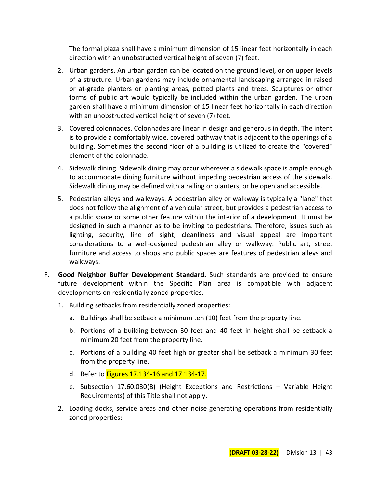The formal plaza shall have a minimum dimension of 15 linear feet horizontally in each direction with an unobstructed vertical height of seven (7) feet.

- 2. Urban gardens. An urban garden can be located on the ground level, or on upper levels of a structure. Urban gardens may include ornamental landscaping arranged in raised or at-grade planters or planting areas, potted plants and trees. Sculptures or other forms of public art would typically be included within the urban garden. The urban garden shall have a minimum dimension of 15 linear feet horizontally in each direction with an unobstructed vertical height of seven (7) feet.
- 3. Covered colonnades. Colonnades are linear in design and generous in depth. The intent is to provide a comfortably wide, covered pathway that is adjacent to the openings of a building. Sometimes the second floor of a building is utilized to create the "covered" element of the colonnade.
- 4. Sidewalk dining. Sidewalk dining may occur wherever a sidewalk space is ample enough to accommodate dining furniture without impeding pedestrian access of the sidewalk. Sidewalk dining may be defined with a railing or planters, or be open and accessible.
- 5. Pedestrian alleys and walkways. A pedestrian alley or walkway is typically a "lane" that does not follow the alignment of a vehicular street, but provides a pedestrian access to a public space or some other feature within the interior of a development. It must be designed in such a manner as to be inviting to pedestrians. Therefore, issues such as lighting, security, line of sight, cleanliness and visual appeal are important considerations to a well-designed pedestrian alley or walkway. Public art, street furniture and access to shops and public spaces are features of pedestrian alleys and walkways.
- F. **Good Neighbor Buffer Development Standard.** Such standards are provided to ensure future development within the Specific Plan area is compatible with adjacent developments on residentially zoned properties.
	- 1. Building setbacks from residentially zoned properties:
		- a. Buildings shall be setback a minimum ten (10) feet from the property line.
		- b. Portions of a building between 30 feet and 40 feet in height shall be setback a minimum 20 feet from the property line.
		- c. Portions of a building 40 feet high or greater shall be setback a minimum 30 feet from the property line.
		- d. Refer to **Figures 17.134-16 and 17.134-17.**
		- e. Subsection 17.60.030(B) (Height Exceptions and Restrictions Variable Height Requirements) of this Title shall not apply.
	- 2. Loading docks, service areas and other noise generating operations from residentially zoned properties: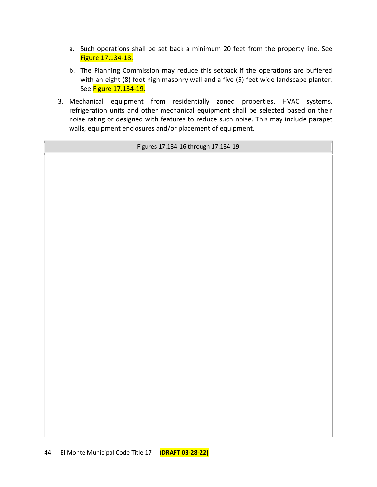- a. Such operations shall be set back a minimum 20 feet from the property line. See Figure 17.134-18.
- b. The Planning Commission may reduce this setback if the operations are buffered with an eight (8) foot high masonry wall and a five (5) feet wide landscape planter. See Figure 17.134-19.
- 3. Mechanical equipment from residentially zoned properties. HVAC systems, refrigeration units and other mechanical equipment shall be selected based on their noise rating or designed with features to reduce such noise. This may include parapet walls, equipment enclosures and/or placement of equipment.

Figures 17.134-16 through 17.134-19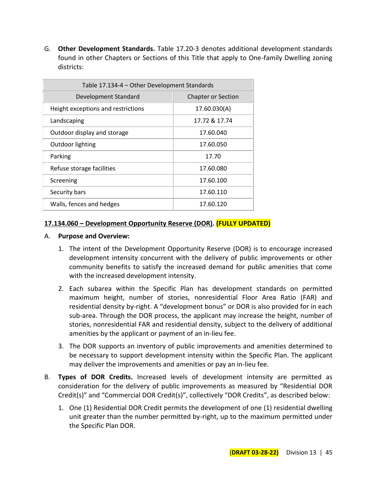G. **Other Development Standards.** Table 17.20-3 denotes additional development standards found in other Chapters or Sections of this Title that apply to One-family Dwelling zoning districts:

| Table 17.134-4 - Other Development Standards |                           |  |  |  |  |
|----------------------------------------------|---------------------------|--|--|--|--|
| <b>Development Standard</b>                  | <b>Chapter or Section</b> |  |  |  |  |
| Height exceptions and restrictions           | 17.60.030(A)              |  |  |  |  |
| Landscaping                                  | 17.72 & 17.74             |  |  |  |  |
| Outdoor display and storage                  | 17.60.040                 |  |  |  |  |
| Outdoor lighting                             | 17.60.050                 |  |  |  |  |
| Parking                                      | 17.70                     |  |  |  |  |
| Refuse storage facilities                    | 17.60.080                 |  |  |  |  |
| Screening                                    | 17.60.100                 |  |  |  |  |
| Security bars                                | 17.60.110                 |  |  |  |  |
| Walls, fences and hedges                     | 17.60.120                 |  |  |  |  |

## **17.134.060 – Development Opportunity Reserve (DOR). (FULLY UPDATED)**

#### A. **Purpose and Overview:**

- 1. The intent of the Development Opportunity Reserve (DOR) is to encourage increased development intensity concurrent with the delivery of public improvements or other community benefits to satisfy the increased demand for public amenities that come with the increased development intensity.
- 2. Each subarea within the Specific Plan has development standards on permitted maximum height, number of stories, nonresidential Floor Area Ratio (FAR) and residential density by-right. A "development bonus" or DOR is also provided for in each sub-area. Through the DOR process, the applicant may increase the height, number of stories, nonresidential FAR and residential density, subject to the delivery of additional amenities by the applicant or payment of an in-lieu fee.
- 3. The DOR supports an inventory of public improvements and amenities determined to be necessary to support development intensity within the Specific Plan. The applicant may deliver the improvements and amenities or pay an in-lieu fee.
- B. **Types of DOR Credits.** Increased levels of development intensity are permitted as consideration for the delivery of public improvements as measured by "Residential DOR Credit(s)" and "Commercial DOR Credit(s)", collectively "DOR Credits", as described below:
	- 1. One (1) Residential DOR Credit permits the development of one (1) residential dwelling unit greater than the number permitted by-right, up to the maximum permitted under the Specific Plan DOR.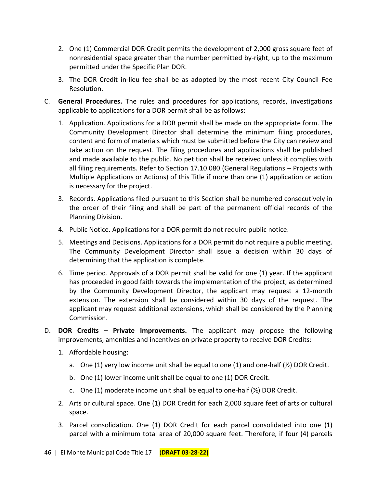- 2. One (1) Commercial DOR Credit permits the development of 2,000 gross square feet of nonresidential space greater than the number permitted by-right, up to the maximum permitted under the Specific Plan DOR.
- 3. The DOR Credit in-lieu fee shall be as adopted by the most recent City Council Fee Resolution.
- C. **General Procedures.** The rules and procedures for applications, records, investigations applicable to applications for a DOR permit shall be as follows:
	- 1. Application. Applications for a DOR permit shall be made on the appropriate form. The Community Development Director shall determine the minimum filing procedures, content and form of materials which must be submitted before the City can review and take action on the request. The filing procedures and applications shall be published and made available to the public. No petition shall be received unless it complies with all filing requirements. Refer to Section 17.10.080 (General Regulations – Projects with Multiple Applications or Actions) of this Title if more than one (1) application or action is necessary for the project.
	- 3. Records. Applications filed pursuant to this Section shall be numbered consecutively in the order of their filing and shall be part of the permanent official records of the Planning Division.
	- 4. Public Notice. Applications for a DOR permit do not require public notice.
	- 5. Meetings and Decisions. Applications for a DOR permit do not require a public meeting. The Community Development Director shall issue a decision within 30 days of determining that the application is complete.
	- 6. Time period. Approvals of a DOR permit shall be valid for one (1) year. If the applicant has proceeded in good faith towards the implementation of the project, as determined by the Community Development Director, the applicant may request a 12-month extension. The extension shall be considered within 30 days of the request. The applicant may request additional extensions, which shall be considered by the Planning Commission.
- D. **DOR Credits – Private Improvements.** The applicant may propose the following improvements, amenities and incentives on private property to receive DOR Credits:
	- 1. Affordable housing:
		- a. One (1) very low income unit shall be equal to one (1) and one-half ( $\frac{1}{2}$ ) DOR Credit.
		- b. One (1) lower income unit shall be equal to one (1) DOR Credit.
		- c. One (1) moderate income unit shall be equal to one-half  $(\frac{1}{2})$  DOR Credit.
	- 2. Arts or cultural space. One (1) DOR Credit for each 2,000 square feet of arts or cultural space.
	- 3. Parcel consolidation. One (1) DOR Credit for each parcel consolidated into one (1) parcel with a minimum total area of 20,000 square feet. Therefore, if four (4) parcels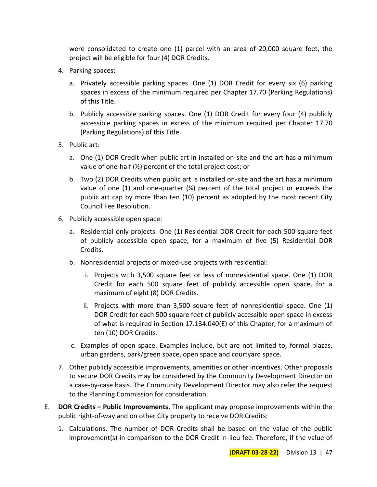were consolidated to create one (1) parcel with an area of 20,000 square feet, the project will be eligible for four (4) DOR Credits.

- 4. Parking spaces:
	- a. Privately accessible parking spaces. One (1) DOR Credit for every six (6) parking spaces in excess of the minimum required per Chapter 17.70 (Parking Regulations) of this Title.
	- b. Publicly accessible parking spaces. One (1) DOR Credit for every four (4) publicly accessible parking spaces in excess of the minimum required per Chapter 17.70 (Parking Regulations) of this Title.
- 5. Public art:
	- a. One (1) DOR Credit when public art in installed on-site and the art has a minimum value of one-half (½) percent of the total project cost; or
	- b. Two (2) DOR Credits when public art is installed on-site and the art has a minimum value of one  $(1)$  and one-quarter  $(1)$  percent of the total project or exceeds the public art cap by more than ten (10) percent as adopted by the most recent City Council Fee Resolution.
- 6. Publicly accessible open space:
	- a. Residential only projects. One (1) Residential DOR Credit for each 500 square feet of publicly accessible open space, for a maximum of five (5) Residential DOR Credits.
	- b. Nonresidential projects or mixed-use projects with residential:
		- i. Projects with 3,500 square feet or less of nonresidential space. One (1) DOR Credit for each 500 square feet of publicly accessible open space, for a maximum of eight (8) DOR Credits.
		- ii. Projects with more than 3,500 square feet of nonresidential space. One (1) DOR Credit for each 500 square feet of publicly accessible open space in excess of what is required in Section 17.134.040(E) of this Chapter, for a maximum of ten (10) DOR Credits.
	- c. Examples of open space. Examples include, but are not limited to, formal plazas, urban gardens, park/green space, open space and courtyard space.
- 7. Other publicly accessible improvements, amenities or other incentives. Other proposals to secure DOR Credits may be considered by the Community Development Director on a case-by-case basis. The Community Development Director may also refer the request to the Planning Commission for consideration.
- E. **DOR Credits – Public Improvements.** The applicant may propose improvements within the public right-of-way and on other City property to receive DOR Credits:
	- 1. Calculations. The number of DOR Credits shall be based on the value of the public improvement(s) in comparison to the DOR Credit in-lieu fee. Therefore, if the value of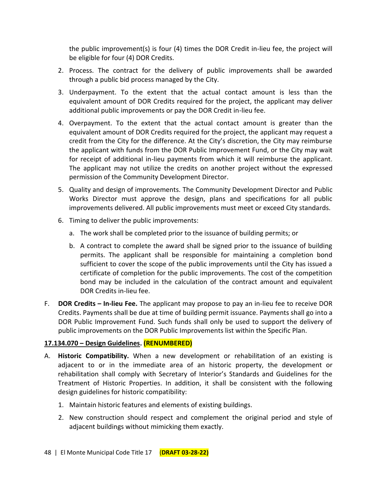the public improvement(s) is four (4) times the DOR Credit in-lieu fee, the project will be eligible for four (4) DOR Credits.

- 2. Process. The contract for the delivery of public improvements shall be awarded through a public bid process managed by the City.
- 3. Underpayment. To the extent that the actual contact amount is less than the equivalent amount of DOR Credits required for the project, the applicant may deliver additional public improvements or pay the DOR Credit in-lieu fee.
- 4. Overpayment. To the extent that the actual contact amount is greater than the equivalent amount of DOR Credits required for the project, the applicant may request a credit from the City for the difference. At the City's discretion, the City may reimburse the applicant with funds from the DOR Public Improvement Fund, or the City may wait for receipt of additional in-lieu payments from which it will reimburse the applicant. The applicant may not utilize the credits on another project without the expressed permission of the Community Development Director.
- 5. Quality and design of improvements. The Community Development Director and Public Works Director must approve the design, plans and specifications for all public improvements delivered. All public improvements must meet or exceed City standards.
- 6. Timing to deliver the public improvements:
	- a. The work shall be completed prior to the issuance of building permits; or
	- b. A contract to complete the award shall be signed prior to the issuance of building permits. The applicant shall be responsible for maintaining a completion bond sufficient to cover the scope of the public improvements until the City has issued a certificate of completion for the public improvements. The cost of the competition bond may be included in the calculation of the contract amount and equivalent DOR Credits in-lieu fee.
- F. **DOR Credits – In-lieu Fee.** The applicant may propose to pay an in-lieu fee to receive DOR Credits. Payments shall be due at time of building permit issuance. Payments shall go into a DOR Public Improvement Fund. Such funds shall only be used to support the delivery of public improvements on the DOR Public Improvements list within the Specific Plan.

## **17.134.070 – Design Guidelines. (RENUMBERED)**

- A. **Historic Compatibility.** When a new development or rehabilitation of an existing is adjacent to or in the immediate area of an historic property, the development or rehabilitation shall comply with Secretary of Interior's Standards and Guidelines for the Treatment of Historic Properties. In addition, it shall be consistent with the following design guidelines for historic compatibility:
	- 1. Maintain historic features and elements of existing buildings.
	- 2. New construction should respect and complement the original period and style of adjacent buildings without mimicking them exactly.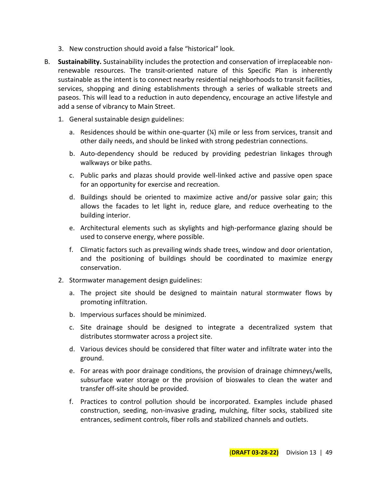- 3. New construction should avoid a false "historical" look.
- B. **Sustainability.** Sustainability includes the protection and conservation of irreplaceable nonrenewable resources. The transit-oriented nature of this Specific Plan is inherently sustainable as the intent is to connect nearby residential neighborhoods to transit facilities, services, shopping and dining establishments through a series of walkable streets and paseos. This will lead to a reduction in auto dependency, encourage an active lifestyle and add a sense of vibrancy to Main Street.
	- 1. General sustainable design guidelines:
		- a. Residences should be within one-quarter  $(\frac{1}{4})$  mile or less from services, transit and other daily needs, and should be linked with strong pedestrian connections.
		- b. Auto-dependency should be reduced by providing pedestrian linkages through walkways or bike paths.
		- c. Public parks and plazas should provide well-linked active and passive open space for an opportunity for exercise and recreation.
		- d. Buildings should be oriented to maximize active and/or passive solar gain; this allows the facades to let light in, reduce glare, and reduce overheating to the building interior.
		- e. Architectural elements such as skylights and high-performance glazing should be used to conserve energy, where possible.
		- f. Climatic factors such as prevailing winds shade trees, window and door orientation, and the positioning of buildings should be coordinated to maximize energy conservation.
	- 2. Stormwater management design guidelines:
		- a. The project site should be designed to maintain natural stormwater flows by promoting infiltration.
		- b. Impervious surfaces should be minimized.
		- c. Site drainage should be designed to integrate a decentralized system that distributes stormwater across a project site.
		- d. Various devices should be considered that filter water and infiltrate water into the ground.
		- e. For areas with poor drainage conditions, the provision of drainage chimneys/wells, subsurface water storage or the provision of bioswales to clean the water and transfer off-site should be provided.
		- f. Practices to control pollution should be incorporated. Examples include phased construction, seeding, non-invasive grading, mulching, filter socks, stabilized site entrances, sediment controls, fiber rolls and stabilized channels and outlets.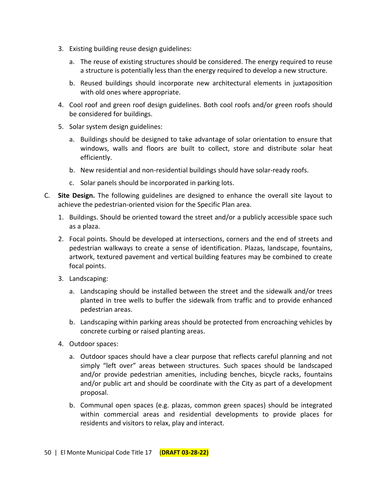- 3. Existing building reuse design guidelines:
	- a. The reuse of existing structures should be considered. The energy required to reuse a structure is potentially less than the energy required to develop a new structure.
	- b. Reused buildings should incorporate new architectural elements in juxtaposition with old ones where appropriate.
- 4. Cool roof and green roof design guidelines. Both cool roofs and/or green roofs should be considered for buildings.
- 5. Solar system design guidelines:
	- a. Buildings should be designed to take advantage of solar orientation to ensure that windows, walls and floors are built to collect, store and distribute solar heat efficiently.
	- b. New residential and non-residential buildings should have solar-ready roofs.
	- c. Solar panels should be incorporated in parking lots.
- C. **Site Design.** The following guidelines are designed to enhance the overall site layout to achieve the pedestrian-oriented vision for the Specific Plan area.
	- 1. Buildings. Should be oriented toward the street and/or a publicly accessible space such as a plaza.
	- 2. Focal points. Should be developed at intersections, corners and the end of streets and pedestrian walkways to create a sense of identification. Plazas, landscape, fountains, artwork, textured pavement and vertical building features may be combined to create focal points.
	- 3. Landscaping:
		- a. Landscaping should be installed between the street and the sidewalk and/or trees planted in tree wells to buffer the sidewalk from traffic and to provide enhanced pedestrian areas.
		- b. Landscaping within parking areas should be protected from encroaching vehicles by concrete curbing or raised planting areas.
	- 4. Outdoor spaces:
		- a. Outdoor spaces should have a clear purpose that reflects careful planning and not simply "left over" areas between structures. Such spaces should be landscaped and/or provide pedestrian amenities, including benches, bicycle racks, fountains and/or public art and should be coordinate with the City as part of a development proposal.
		- b. Communal open spaces (e.g. plazas, common green spaces) should be integrated within commercial areas and residential developments to provide places for residents and visitors to relax, play and interact.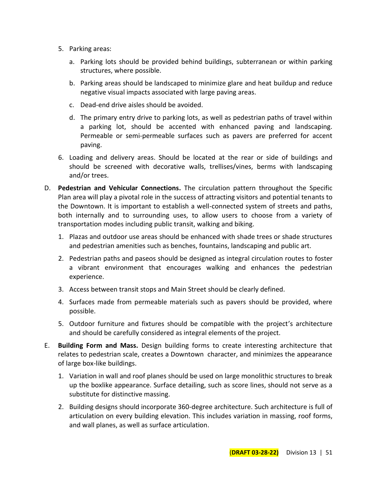- 5. Parking areas:
	- a. Parking lots should be provided behind buildings, subterranean or within parking structures, where possible.
	- b. Parking areas should be landscaped to minimize glare and heat buildup and reduce negative visual impacts associated with large paving areas.
	- c. Dead-end drive aisles should be avoided.
	- d. The primary entry drive to parking lots, as well as pedestrian paths of travel within a parking lot, should be accented with enhanced paving and landscaping. Permeable or semi-permeable surfaces such as pavers are preferred for accent paving.
- 6. Loading and delivery areas. Should be located at the rear or side of buildings and should be screened with decorative walls, trellises/vines, berms with landscaping and/or trees.
- D. **Pedestrian and Vehicular Connections.** The circulation pattern throughout the Specific Plan area will play a pivotal role in the success of attracting visitors and potential tenants to the Downtown. It is important to establish a well-connected system of streets and paths, both internally and to surrounding uses, to allow users to choose from a variety of transportation modes including public transit, walking and biking.
	- 1. Plazas and outdoor use areas should be enhanced with shade trees or shade structures and pedestrian amenities such as benches, fountains, landscaping and public art.
	- 2. Pedestrian paths and paseos should be designed as integral circulation routes to foster a vibrant environment that encourages walking and enhances the pedestrian experience.
	- 3. Access between transit stops and Main Street should be clearly defined.
	- 4. Surfaces made from permeable materials such as pavers should be provided, where possible.
	- 5. Outdoor furniture and fixtures should be compatible with the project's architecture and should be carefully considered as integral elements of the project.
- E. **Building Form and Mass.** Design building forms to create interesting architecture that relates to pedestrian scale, creates a Downtown character, and minimizes the appearance of large box-like buildings.
	- 1. Variation in wall and roof planes should be used on large monolithic structures to break up the boxlike appearance. Surface detailing, such as score lines, should not serve as a substitute for distinctive massing.
	- 2. Building designs should incorporate 360-degree architecture. Such architecture is full of articulation on every building elevation. This includes variation in massing, roof forms, and wall planes, as well as surface articulation.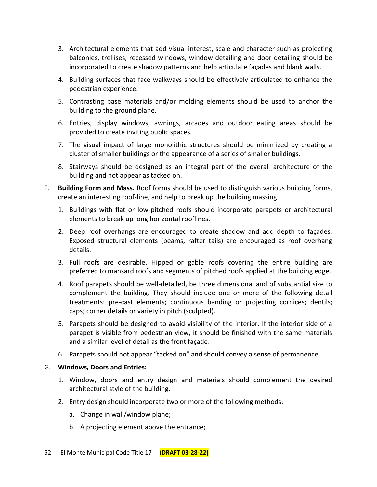- 3. Architectural elements that add visual interest, scale and character such as projecting balconies, trellises, recessed windows, window detailing and door detailing should be incorporated to create shadow patterns and help articulate façades and blank walls.
- 4. Building surfaces that face walkways should be effectively articulated to enhance the pedestrian experience.
- 5. Contrasting base materials and/or molding elements should be used to anchor the building to the ground plane.
- 6. Entries, display windows, awnings, arcades and outdoor eating areas should be provided to create inviting public spaces.
- 7. The visual impact of large monolithic structures should be minimized by creating a cluster of smaller buildings or the appearance of a series of smaller buildings.
- 8. Stairways should be designed as an integral part of the overall architecture of the building and not appear as tacked on.
- F. **Building Form and Mass.** Roof forms should be used to distinguish various building forms, create an interesting roof-line, and help to break up the building massing.
	- 1. Buildings with flat or low-pitched roofs should incorporate parapets or architectural elements to break up long horizontal rooflines.
	- 2. Deep roof overhangs are encouraged to create shadow and add depth to façades. Exposed structural elements (beams, rafter tails) are encouraged as roof overhang details.
	- 3. Full roofs are desirable. Hipped or gable roofs covering the entire building are preferred to mansard roofs and segments of pitched roofs applied at the building edge.
	- 4. Roof parapets should be well-detailed, be three dimensional and of substantial size to complement the building. They should include one or more of the following detail treatments: pre-cast elements; continuous banding or projecting cornices; dentils; caps; corner details or variety in pitch (sculpted).
	- 5. Parapets should be designed to avoid visibility of the interior. If the interior side of a parapet is visible from pedestrian view, it should be finished with the same materials and a similar level of detail as the front façade.
	- 6. Parapets should not appear "tacked on" and should convey a sense of permanence.

#### G. **Windows, Doors and Entries:**

- 1. Window, doors and entry design and materials should complement the desired architectural style of the building.
- 2. Entry design should incorporate two or more of the following methods:
	- a. Change in wall/window plane;
	- b. A projecting element above the entrance;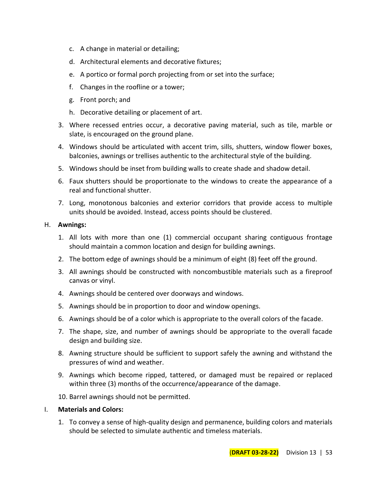- c. A change in material or detailing;
- d. Architectural elements and decorative fixtures;
- e. A portico or formal porch projecting from or set into the surface;
- f. Changes in the roofline or a tower;
- g. Front porch; and
- h. Decorative detailing or placement of art.
- 3. Where recessed entries occur, a decorative paving material, such as tile, marble or slate, is encouraged on the ground plane.
- 4. Windows should be articulated with accent trim, sills, shutters, window flower boxes, balconies, awnings or trellises authentic to the architectural style of the building.
- 5. Windows should be inset from building walls to create shade and shadow detail.
- 6. Faux shutters should be proportionate to the windows to create the appearance of a real and functional shutter.
- 7. Long, monotonous balconies and exterior corridors that provide access to multiple units should be avoided. Instead, access points should be clustered.

#### H. **Awnings:**

- 1. All lots with more than one (1) commercial occupant sharing contiguous frontage should maintain a common location and design for building awnings.
- 2. The bottom edge of awnings should be a minimum of eight (8) feet off the ground.
- 3. All awnings should be constructed with noncombustible materials such as a fireproof canvas or vinyl.
- 4. Awnings should be centered over doorways and windows.
- 5. Awnings should be in proportion to door and window openings.
- 6. Awnings should be of a color which is appropriate to the overall colors of the facade.
- 7. The shape, size, and number of awnings should be appropriate to the overall facade design and building size.
- 8. Awning structure should be sufficient to support safely the awning and withstand the pressures of wind and weather.
- 9. Awnings which become ripped, tattered, or damaged must be repaired or replaced within three (3) months of the occurrence/appearance of the damage.

10. Barrel awnings should not be permitted.

#### I. **Materials and Colors:**

1. To convey a sense of high-quality design and permanence, building colors and materials should be selected to simulate authentic and timeless materials.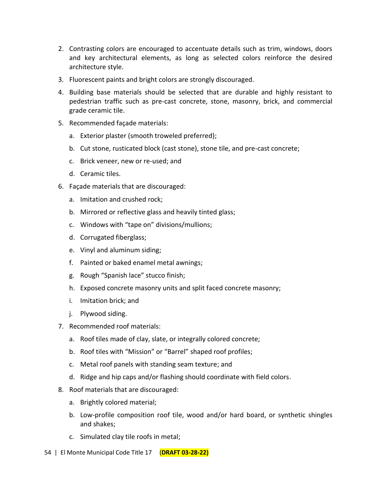- 2. Contrasting colors are encouraged to accentuate details such as trim, windows, doors and key architectural elements, as long as selected colors reinforce the desired architecture style.
- 3. Fluorescent paints and bright colors are strongly discouraged.
- 4. Building base materials should be selected that are durable and highly resistant to pedestrian traffic such as pre-cast concrete, stone, masonry, brick, and commercial grade ceramic tile.
- 5. Recommended façade materials:
	- a. Exterior plaster (smooth troweled preferred);
	- b. Cut stone, rusticated block (cast stone), stone tile, and pre-cast concrete;
	- c. Brick veneer, new or re-used; and
	- d. Ceramic tiles.
- 6. Façade materials that are discouraged:
	- a. Imitation and crushed rock;
	- b. Mirrored or reflective glass and heavily tinted glass;
	- c. Windows with "tape on" divisions/mullions;
	- d. Corrugated fiberglass;
	- e. Vinyl and aluminum siding;
	- f. Painted or baked enamel metal awnings;
	- g. Rough "Spanish lace" stucco finish;
	- h. Exposed concrete masonry units and split faced concrete masonry;
	- i. Imitation brick; and
	- j. Plywood siding.
- 7. Recommended roof materials:
	- a. Roof tiles made of clay, slate, or integrally colored concrete;
	- b. Roof tiles with "Mission" or "Barrel" shaped roof profiles;
	- c. Metal roof panels with standing seam texture; and
	- d. Ridge and hip caps and/or flashing should coordinate with field colors.
- 8. Roof materials that are discouraged:
	- a. Brightly colored material;
	- b. Low-profile composition roof tile, wood and/or hard board, or synthetic shingles and shakes;
	- c. Simulated clay tile roofs in metal;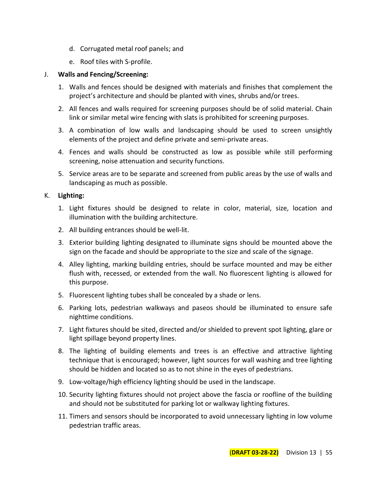- d. Corrugated metal roof panels; and
- e. Roof tiles with S-profile.

## J. **Walls and Fencing/Screening:**

- 1. Walls and fences should be designed with materials and finishes that complement the project's architecture and should be planted with vines, shrubs and/or trees.
- 2. All fences and walls required for screening purposes should be of solid material. Chain link or similar metal wire fencing with slats is prohibited for screening purposes.
- 3. A combination of low walls and landscaping should be used to screen unsightly elements of the project and define private and semi-private areas.
- 4. Fences and walls should be constructed as low as possible while still performing screening, noise attenuation and security functions.
- 5. Service areas are to be separate and screened from public areas by the use of walls and landscaping as much as possible.

## K. **Lighting:**

- 1. Light fixtures should be designed to relate in color, material, size, location and illumination with the building architecture.
- 2. All building entrances should be well-lit.
- 3. Exterior building lighting designated to illuminate signs should be mounted above the sign on the facade and should be appropriate to the size and scale of the signage.
- 4. Alley lighting, marking building entries, should be surface mounted and may be either flush with, recessed, or extended from the wall. No fluorescent lighting is allowed for this purpose.
- 5. Fluorescent lighting tubes shall be concealed by a shade or lens.
- 6. Parking lots, pedestrian walkways and paseos should be illuminated to ensure safe nighttime conditions.
- 7. Light fixtures should be sited, directed and/or shielded to prevent spot lighting, glare or light spillage beyond property lines.
- 8. The lighting of building elements and trees is an effective and attractive lighting technique that is encouraged; however, light sources for wall washing and tree lighting should be hidden and located so as to not shine in the eyes of pedestrians.
- 9. Low-voltage/high efficiency lighting should be used in the landscape.
- 10. Security lighting fixtures should not project above the fascia or roofline of the building and should not be substituted for parking lot or walkway lighting fixtures.
- 11. Timers and sensors should be incorporated to avoid unnecessary lighting in low volume pedestrian traffic areas.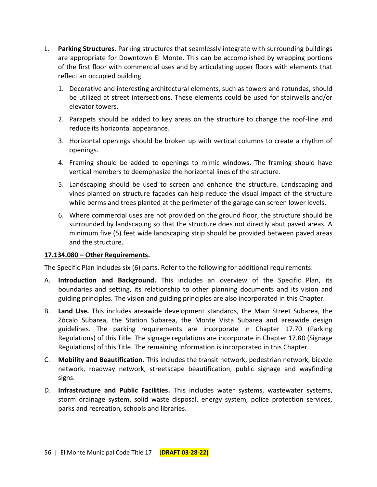- L. **Parking Structures.** Parking structures that seamlessly integrate with surrounding buildings are appropriate for Downtown El Monte. This can be accomplished by wrapping portions of the first floor with commercial uses and by articulating upper floors with elements that reflect an occupied building.
	- 1. Decorative and interesting architectural elements, such as towers and rotundas, should be utilized at street intersections. These elements could be used for stairwells and/or elevator towers.
	- 2. Parapets should be added to key areas on the structure to change the roof-line and reduce its horizontal appearance.
	- 3. Horizontal openings should be broken up with vertical columns to create a rhythm of openings.
	- 4. Framing should be added to openings to mimic windows. The framing should have vertical members to deemphasize the horizontal lines of the structure.
	- 5. Landscaping should be used to screen and enhance the structure. Landscaping and vines planted on structure façades can help reduce the visual impact of the structure while berms and trees planted at the perimeter of the garage can screen lower levels.
	- 6. Where commercial uses are not provided on the ground floor, the structure should be surrounded by landscaping so that the structure does not directly abut paved areas. A minimum five (5) feet wide landscaping strip should be provided between paved areas and the structure.

#### **17.134.080 – Other Requirements.**

The Specific Plan includes six (6) parts. Refer to the following for additional requirements:

- A. **Introduction and Background.** This includes an overview of the Specific Plan, its boundaries and setting, its relationship to other planning documents and its vision and guiding principles. The vision and guiding principles are also incorporated in this Chapter.
- B. **Land Use.** This includes areawide development standards, the Main Street Subarea, the Zόcalo Subarea, the Station Subarea, the Monte Vista Subarea and areawide design guidelines. The parking requirements are incorporate in Chapter 17.70 (Parking Regulations) of this Title. The signage regulations are incorporate in Chapter 17.80 (Signage Regulations) of this Title. The remaining information is incorporated in this Chapter.
- C. **Mobility and Beautification.** This includes the transit network, pedestrian network, bicycle network, roadway network, streetscape beautification, public signage and wayfinding signs.
- D. **Infrastructure and Public Facilities.** This includes water systems, wastewater systems, storm drainage system, solid waste disposal, energy system, police protection services, parks and recreation, schools and libraries.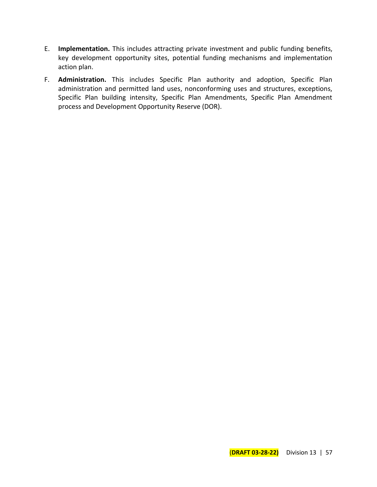- E. **Implementation.** This includes attracting private investment and public funding benefits, key development opportunity sites, potential funding mechanisms and implementation action plan.
- F. **Administration.** This includes Specific Plan authority and adoption, Specific Plan administration and permitted land uses, nonconforming uses and structures, exceptions, Specific Plan building intensity, Specific Plan Amendments, Specific Plan Amendment process and Development Opportunity Reserve (DOR).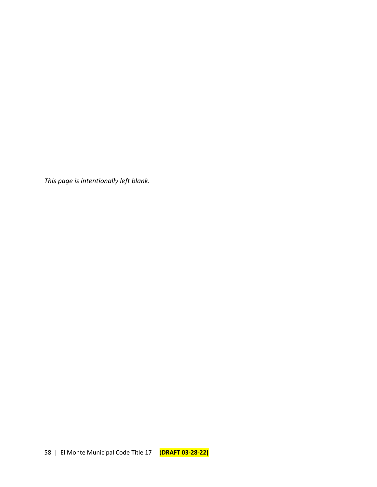*This page is intentionally left blank.*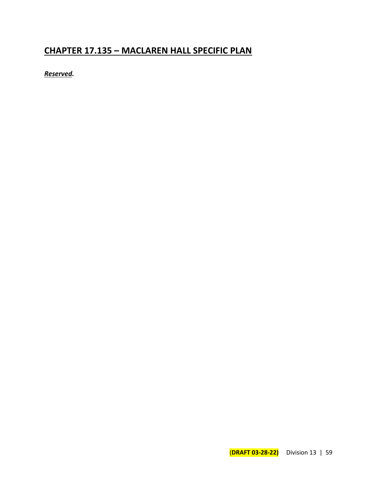## **CHAPTER 17.135 – MACLAREN HALL SPECIFIC PLAN**

*Reserved.*